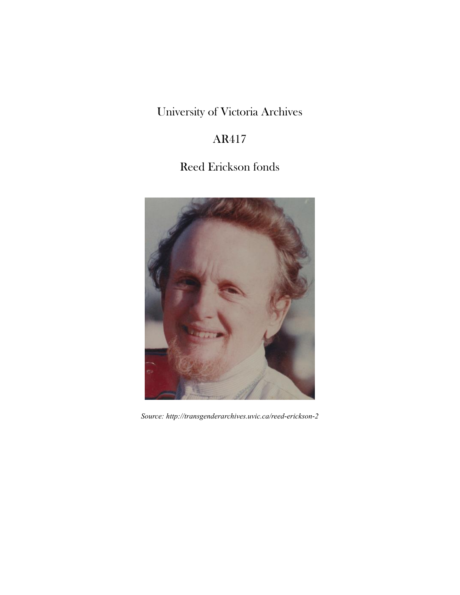# University of Victoria Archives

# AR417

# Reed Erickson fonds



*Source: http://transgenderarchives.uvic.ca/reed-erickson-2*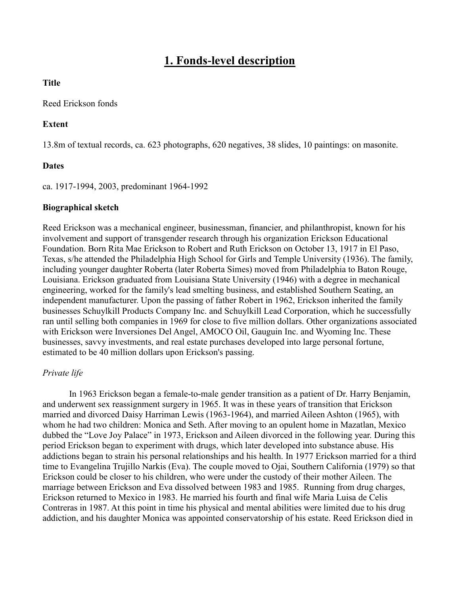## **1. Fonds-level description**

#### **Title**

#### Reed Erickson fonds

#### **Extent**

13.8m of textual records, ca. 623 photographs, 620 negatives, 38 slides, 10 paintings: on masonite.

#### **Dates**

ca. 1917-1994, 2003, predominant 1964-1992

#### **Biographical sketch**

Reed Erickson was a mechanical engineer, businessman, financier, and philanthropist, known for his involvement and support of transgender research through his organization Erickson Educational Foundation. Born Rita Mae Erickson to Robert and Ruth Erickson on October 13, 1917 in El Paso, Texas, s/he attended the Philadelphia High School for Girls and Temple University (1936). The family, including younger daughter Roberta (later Roberta Simes) moved from Philadelphia to Baton Rouge, Louisiana. Erickson graduated from Louisiana State University (1946) with a degree in mechanical engineering, worked for the family's lead smelting business, and established Southern Seating, an independent manufacturer. Upon the passing of father Robert in 1962, Erickson inherited the family businesses Schuylkill Products Company Inc. and Schuylkill Lead Corporation, which he successfully ran until selling both companies in 1969 for close to five million dollars. Other organizations associated with Erickson were Inversiones Del Angel, AMOCO Oil, Gauguin Inc. and Wyoming Inc. These businesses, savvy investments, and real estate purchases developed into large personal fortune, estimated to be 40 million dollars upon Erickson's passing.

#### *Private life*

In 1963 Erickson began a female-to-male gender transition as a patient of Dr. Harry Benjamin, and underwent sex reassignment surgery in 1965. It was in these years of transition that Erickson married and divorced Daisy Harriman Lewis (1963-1964), and married Aileen Ashton (1965), with whom he had two children: Monica and Seth. After moving to an opulent home in Mazatlan, Mexico dubbed the "Love Joy Palace" in 1973, Erickson and Aileen divorced in the following year. During this period Erickson began to experiment with drugs, which later developed into substance abuse. His addictions began to strain his personal relationships and his health. In 1977 Erickson married for a third time to Evangelina Trujillo Narkis (Eva). The couple moved to Ojai, Southern California (1979) so that Erickson could be closer to his children, who were under the custody of their mother Aileen. The marriage between Erickson and Eva dissolved between 1983 and 1985. Running from drug charges, Erickson returned to Mexico in 1983. He married his fourth and final wife Maria Luisa de Celis Contreras in 1987. At this point in time his physical and mental abilities were limited due to his drug addiction, and his daughter Monica was appointed conservatorship of his estate. Reed Erickson died in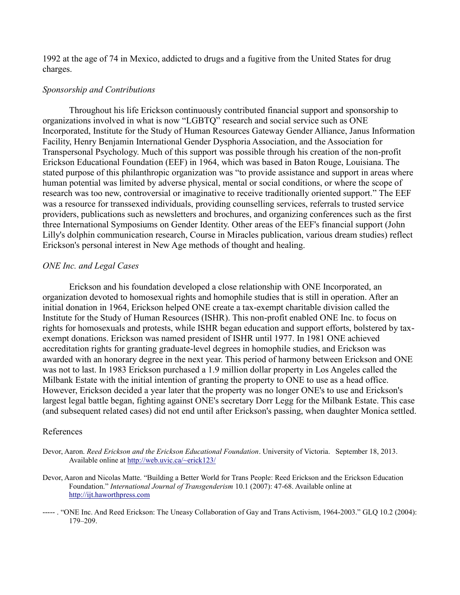1992 at the age of 74 in Mexico, addicted to drugs and a fugitive from the United States for drug charges.

#### *Sponsorship and Contributions*

Throughout his life Erickson continuously contributed financial support and sponsorship to organizations involved in what is now "LGBTQ" research and social service such as ONE Incorporated, Institute for the Study of Human Resources Gateway Gender Alliance, Janus Information Facility, Henry Benjamin International Gender Dysphoria Association, and the Association for Transpersonal Psychology. Much of this support was possible through his creation of the non-profit Erickson Educational Foundation (EEF) in 1964, which was based in Baton Rouge, Louisiana. The stated purpose of this philanthropic organization was "to provide assistance and support in areas where human potential was limited by adverse physical, mental or social conditions, or where the scope of research was too new, controversial or imaginative to receive traditionally oriented support." The EEF was a resource for transsexed individuals, providing counselling services, referrals to trusted service providers, publications such as newsletters and brochures, and organizing conferences such as the first three International Symposiums on Gender Identity. Other areas of the EEF's financial support (John Lilly's dolphin communication research, Course in Miracles publication, various dream studies) reflect Erickson's personal interest in New Age methods of thought and healing.

#### *ONE Inc. and Legal Cases*

Erickson and his foundation developed a close relationship with ONE Incorporated, an organization devoted to homosexual rights and homophile studies that is still in operation. After an initial donation in 1964, Erickson helped ONE create a tax-exempt charitable division called the Institute for the Study of Human Resources (ISHR). This non-profit enabled ONE Inc. to focus on rights for homosexuals and protests, while ISHR began education and support efforts, bolstered by taxexempt donations. Erickson was named president of ISHR until 1977. In 1981 ONE achieved accreditation rights for granting graduate-level degrees in homophile studies, and Erickson was awarded with an honorary degree in the next year. This period of harmony between Erickson and ONE was not to last. In 1983 Erickson purchased a 1.9 million dollar property in Los Angeles called the Milbank Estate with the initial intention of granting the property to ONE to use as a head office. However, Erickson decided a year later that the property was no longer ONE's to use and Erickson's largest legal battle began, fighting against ONE's secretary Dorr Legg for the Milbank Estate. This case (and subsequent related cases) did not end until after Erickson's passing, when daughter Monica settled.

#### References

Devor, Aaron. *Reed Erickson and the Erickson Educational Foundation*. University of Victoria. September 18, 2013. Available online at http://web.uvic.ca/~erick123/

- Devor, Aaron and Nicolas Matte. "Building a Better World for Trans People: Reed Erickson and the Erickson Education Foundation." *International Journal of Transgenderism* 10.1 (2007): 47-68. Available online at http://ijt.haworthpress.com
- ----- . "ONE Inc. And Reed Erickson: The Uneasy Collaboration of Gay and Trans Activism, 1964-2003." GLQ 10.2 (2004): 179–209.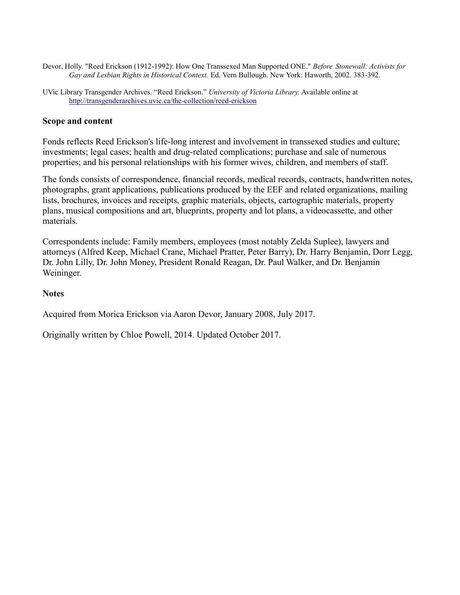- Devor, Holly. "Reed Erickson (1912-1992): How One Transsexed Man Supported ONE." *Before Stonewall: Activists for Gay and Lesbian Rights in Historical Context.* Ed. Vern Bullough. New York: Haworth, 2002. 383-392.
- UVic Library Transgender Archives. "Reed Erickson." *University of Victoria Library.* Available online at <http://transgenderarchives.uvic.ca/the-collection/reed-erickson>

#### **Scope and content**

Fonds reflects Reed Erickson's life-long interest and involvement in transsexed studies and culture; investments; legal cases; health and drug-related complications; purchase and sale of numerous properties; and his personal relationships with his former wives, children, and members of staff.

The fonds consists of correspondence, financial records, medical records, contracts, handwritten notes, photographs, grant applications, publications produced by the EEF and related organizations, mailing lists, brochures, invoices and receipts, graphic materials, objects, cartographic materials, property plans, musical compositions and art, blueprints, property and lot plans, a videocassette, and other materials.

Correspondents include: Family members, employees (most notably Zelda Suplee), lawyers and attorneys (Alfred Keep, Michael Crane, Michael Pratter, Peter Barry), Dr. Harry Benjamin, Dorr Legg, Dr. John Lilly, Dr. John Money, President Ronald Reagan, Dr. Paul Walker, and Dr. Benjamin Weininger.

#### **Notes**

Acquired from Morica Erickson via Aaron Devor, January 2008, July 2017.

Originally written by Chloe Powell, 2014. Updated October 2017.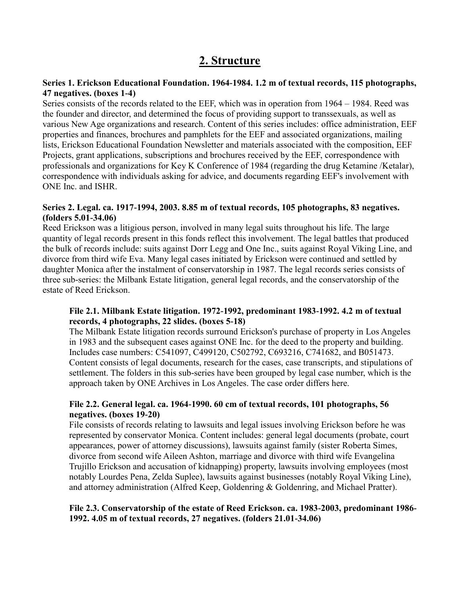## **2. Structure**

## **Series 1. Erickson Educational Foundation. 1964-1984. 1.2 m of textual records, 115 photographs, 47 negatives. (boxes 1-4)**

Series consists of the records related to the EEF, which was in operation from 1964 – 1984. Reed was the founder and director, and determined the focus of providing support to transsexuals, as well as various New Age organizations and research. Content of this series includes: office administration, EEF properties and finances, brochures and pamphlets for the EEF and associated organizations, mailing lists, Erickson Educational Foundation Newsletter and materials associated with the composition, EEF Projects, grant applications, subscriptions and brochures received by the EEF, correspondence with professionals and organizations for Key K Conference of 1984 (regarding the drug Ketamine /Ketalar), correspondence with individuals asking for advice, and documents regarding EEF's involvement with ONE Inc. and ISHR.

## **Series 2. Legal. ca. 1917-1994, 2003. 8.85 m of textual records, 105 photographs, 83 negatives. (folders 5.01-34.06)**

Reed Erickson was a litigious person, involved in many legal suits throughout his life. The large quantity of legal records present in this fonds reflect this involvement. The legal battles that produced the bulk of records include: suits against Dorr Legg and One Inc., suits against Royal Viking Line, and divorce from third wife Eva. Many legal cases initiated by Erickson were continued and settled by daughter Monica after the instalment of conservatorship in 1987. The legal records series consists of three sub-series: the Milbank Estate litigation, general legal records, and the conservatorship of the estate of Reed Erickson.

## **File 2.1. Milbank Estate litigation. 1972-1992, predominant 1983-1992. 4.2 m of textual records, 4 photographs, 22 slides. (boxes 5-18)**

The Milbank Estate litigation records surround Erickson's purchase of property in Los Angeles in 1983 and the subsequent cases against ONE Inc. for the deed to the property and building. Includes case numbers: C541097, C499120, C502792, C693216, C741682, and B051473. Content consists of legal documents, research for the cases, case transcripts, and stipulations of settlement. The folders in this sub-series have been grouped by legal case number, which is the approach taken by ONE Archives in Los Angeles. The case order differs here.

#### **File 2.2. General legal. ca. 1964-1990. 60 cm of textual records, 101 photographs, 56 negatives. (boxes 19-20)**

File consists of records relating to lawsuits and legal issues involving Erickson before he was represented by conservator Monica. Content includes: general legal documents (probate, court appearances, power of attorney discussions), lawsuits against family (sister Roberta Simes, divorce from second wife Aileen Ashton, marriage and divorce with third wife Evangelina Trujillo Erickson and accusation of kidnapping) property, lawsuits involving employees (most notably Lourdes Pena, Zelda Suplee), lawsuits against businesses (notably Royal Viking Line), and attorney administration (Alfred Keep, Goldenring & Goldenring, and Michael Pratter).

## **File 2.3. Conservatorship of the estate of Reed Erickson. ca. 1983-2003, predominant 1986- 1992. 4.05 m of textual records, 27 negatives. (folders 21.01-34.06)**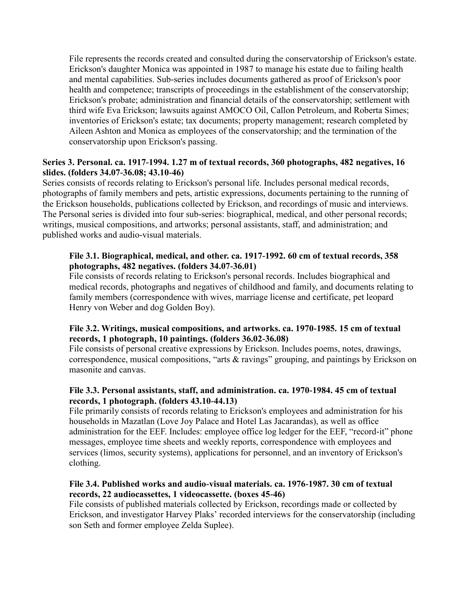File represents the records created and consulted during the conservatorship of Erickson's estate. Erickson's daughter Monica was appointed in 1987 to manage his estate due to failing health and mental capabilities. Sub-series includes documents gathered as proof of Erickson's poor health and competence; transcripts of proceedings in the establishment of the conservatorship; Erickson's probate; administration and financial details of the conservatorship; settlement with third wife Eva Erickson; lawsuits against AMOCO Oil, Callon Petroleum, and Roberta Simes; inventories of Erickson's estate; tax documents; property management; research completed by Aileen Ashton and Monica as employees of the conservatorship; and the termination of the conservatorship upon Erickson's passing.

## **Series 3. Personal. ca. 1917-1994. 1.27 m of textual records, 360 photographs, 482 negatives, 16 slides. (folders 34.07-36.08; 43.10-46)**

Series consists of records relating to Erickson's personal life. Includes personal medical records, photographs of family members and pets, artistic expressions, documents pertaining to the running of the Erickson households, publications collected by Erickson, and recordings of music and interviews. The Personal series is divided into four sub-series: biographical, medical, and other personal records; writings, musical compositions, and artworks; personal assistants, staff, and administration; and published works and audio-visual materials.

## **File 3.1. Biographical, medical, and other. ca. 1917-1992. 60 cm of textual records, 358 photographs, 482 negatives. (folders 34.07-36.01)**

File consists of records relating to Erickson's personal records. Includes biographical and medical records, photographs and negatives of childhood and family, and documents relating to family members (correspondence with wives, marriage license and certificate, pet leopard Henry von Weber and dog Golden Boy).

## **File 3.2. Writings, musical compositions, and artworks. ca. 1970-1985. 15 cm of textual records, 1 photograph, 10 paintings. (folders 36.02-36.08)**

File consists of personal creative expressions by Erickson. Includes poems, notes, drawings, correspondence, musical compositions, "arts & ravings" grouping, and paintings by Erickson on masonite and canvas.

## **File 3.3. Personal assistants, staff, and administration. ca. 1970-1984. 45 cm of textual records, 1 photograph. (folders 43.10-44.13)**

File primarily consists of records relating to Erickson's employees and administration for his households in Mazatlan (Love Joy Palace and Hotel Las Jacarandas), as well as office administration for the EEF. Includes: employee office log ledger for the EEF, "record-it" phone messages, employee time sheets and weekly reports, correspondence with employees and services (limos, security systems), applications for personnel, and an inventory of Erickson's clothing.

## **File 3.4. Published works and audio-visual materials. ca. 1976-1987. 30 cm of textual records, 22 audiocassettes, 1 videocassette. (boxes 45-46)**

File consists of published materials collected by Erickson, recordings made or collected by Erickson, and investigator Harvey Plaks' recorded interviews for the conservatorship (including son Seth and former employee Zelda Suplee).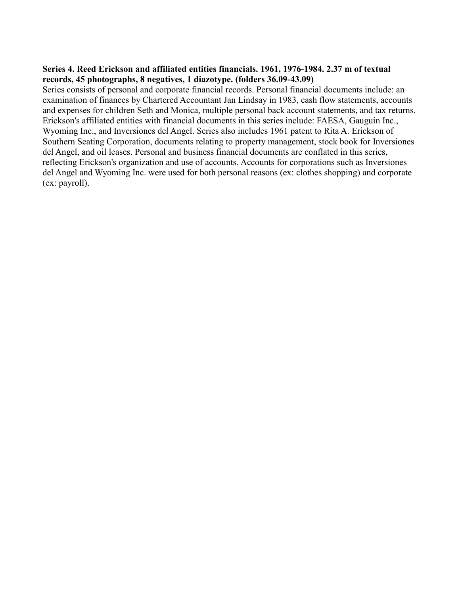#### **Series 4. Reed Erickson and affiliated entities financials. 1961, 1976-1984. 2.37 m of textual records, 45 photographs, 8 negatives, 1 diazotype. (folders 36.09-43.09)**

Series consists of personal and corporate financial records. Personal financial documents include: an examination of finances by Chartered Accountant Jan Lindsay in 1983, cash flow statements, accounts and expenses for children Seth and Monica, multiple personal back account statements, and tax returns. Erickson's affiliated entities with financial documents in this series include: FAESA, Gauguin Inc., Wyoming Inc., and Inversiones del Angel. Series also includes 1961 patent to Rita A. Erickson of Southern Seating Corporation, documents relating to property management, stock book for Inversiones del Angel, and oil leases. Personal and business financial documents are conflated in this series, reflecting Erickson's organization and use of accounts. Accounts for corporations such as Inversiones del Angel and Wyoming Inc. were used for both personal reasons (ex: clothes shopping) and corporate (ex: payroll).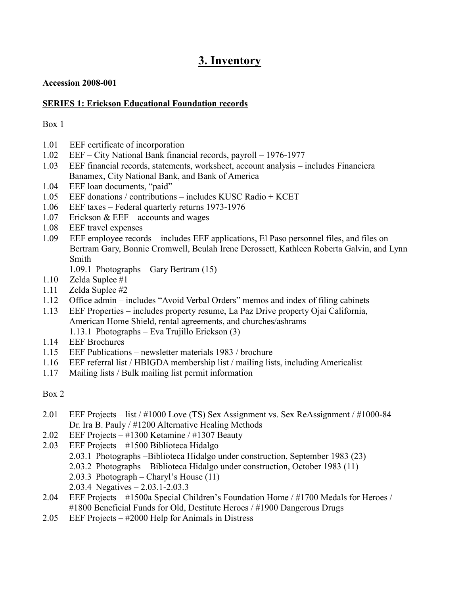## **3. Inventory**

## **Accession 2008-001**

## **SERIES 1: Erickson Educational Foundation records**

## Box 1

- 1.01 EEF certificate of incorporation
- 1.02 EEF City National Bank financial records, payroll 1976-1977
- 1.03 EEF financial records, statements, worksheet, account analysis includes Financiera Banamex, City National Bank, and Bank of America
- 1.04 EEF loan documents, "paid"
- 1.05 EEF donations / contributions includes KUSC Radio + KCET
- 1.06 EEF taxes Federal quarterly returns 1973-1976
- 1.07 Erickson & EEF accounts and wages
- 1.08 EEF travel expenses
- 1.09 EEF employee records includes EEF applications, El Paso personnel files, and files on Bertram Gary, Bonnie Cromwell, Beulah Irene Derossett, Kathleen Roberta Galvin, and Lynn Smith
	- 1.09.1 Photographs Gary Bertram (15)
- 1.10 Zelda Suplee #1
- 1.11 Zelda Suplee #2
- 1.12 Office admin includes "Avoid Verbal Orders" memos and index of filing cabinets
- 1.13 EEF Properties includes property resume, La Paz Drive property Ojai California, American Home Shield, rental agreements, and churches/ashrams 1.13.1 Photographs – Eva Trujillo Erickson (3)
- 1.14 EEF Brochures
- 1.15 EEF Publications newsletter materials 1983 / brochure
- 1.16 EEF referral list / HBIGDA membership list / mailing lists, including Americalist
- 1.17 Mailing lists / Bulk mailing list permit information

- 2.01 EEF Projects list / #1000 Love (TS) Sex Assignment vs. Sex ReAssignment / #1000-84 Dr. Ira B. Pauly / #1200 Alternative Healing Methods
- 2.02 EEF Projects #1300 Ketamine / #1307 Beauty
- 2.03 EEF Projects #1500 Biblioteca Hidalgo
	- 2.03.1 Photographs –Biblioteca Hidalgo under construction, September 1983 (23)
	- 2.03.2 Photographs Biblioteca Hidalgo under construction, October 1983 (11)
	- 2.03.3 Photograph Charyl's House (11)
	- 2.03.4 Negatives 2.03.1-2.03.3
- 2.04 EEF Projects #1500a Special Children's Foundation Home / #1700 Medals for Heroes / #1800 Beneficial Funds for Old, Destitute Heroes / #1900 Dangerous Drugs
- 2.05 EEF Projects #2000 Help for Animals in Distress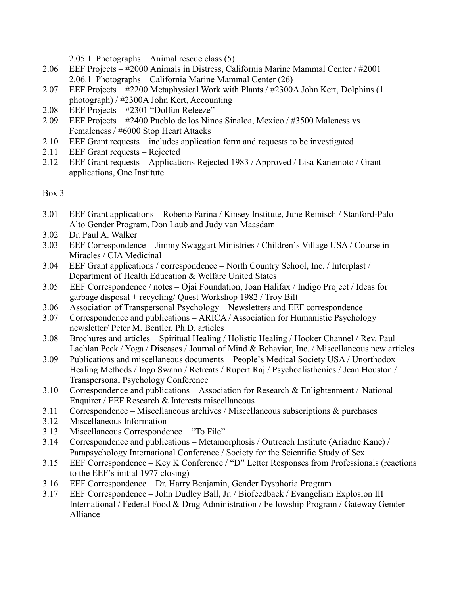2.05.1 Photographs – Animal rescue class (5)

- 2.06 EEF Projects #2000 Animals in Distress, California Marine Mammal Center / #2001 2.06.1 Photographs – California Marine Mammal Center (26)
- 2.07 EEF Projects #2200 Metaphysical Work with Plants / #2300A John Kert, Dolphins (1 photograph) / #2300A John Kert, Accounting
- 2.08 EEF Projects #2301 "Dolfun Releeze"
- 2.09 EEF Projects #2400 Pueblo de los Ninos Sinaloa, Mexico / #3500 Maleness vs Femaleness / #6000 Stop Heart Attacks
- 2.10 EEF Grant requests includes application form and requests to be investigated
- 2.11 EEF Grant requests Rejected
- 2.12 EEF Grant requests Applications Rejected 1983 / Approved / Lisa Kanemoto / Grant applications, One Institute

- 3.01 EEF Grant applications Roberto Farina / Kinsey Institute, June Reinisch / Stanford-Palo Alto Gender Program, Don Laub and Judy van Maasdam
- 3.02 Dr. Paul A. Walker
- 3.03 EEF Correspondence Jimmy Swaggart Ministries / Children's Village USA / Course in Miracles / CIA Medicinal
- 3.04 EEF Grant applications / correspondence North Country School, Inc. / Interplast / Department of Health Education & Welfare United States
- 3.05 EEF Correspondence / notes Ojai Foundation, Joan Halifax / Indigo Project / Ideas for garbage disposal + recycling/ Quest Workshop 1982 / Troy Bilt
- 3.06 Association of Transpersonal Psychology Newsletters and EEF correspondence
- 3.07 Correspondence and publications ARICA / Association for Humanistic Psychology newsletter/ Peter M. Bentler, Ph.D. articles
- 3.08 Brochures and articles Spiritual Healing / Holistic Healing / Hooker Channel / Rev. Paul Lachlan Peck / Yoga / Diseases / Journal of Mind & Behavior, Inc. / Miscellaneous new articles
- 3.09 Publications and miscellaneous documents People's Medical Society USA / Unorthodox Healing Methods / Ingo Swann / Retreats / Rupert Raj / Psychoalisthenics / Jean Houston / Transpersonal Psychology Conference
- 3.10 Correspondence and publications Association for Research & Enlightenment / National Enquirer / EEF Research & Interests miscellaneous
- 3.11 Correspondence Miscellaneous archives / Miscellaneous subscriptions & purchases
- 3.12 Miscellaneous Information
- 3.13 Miscellaneous Correspondence "To File"
- 3.14 Correspondence and publications Metamorphosis / Outreach Institute (Ariadne Kane) / Parapsychology International Conference / Society for the Scientific Study of Sex
- 3.15 EEF Correspondence Key K Conference / "D" Letter Responses from Professionals (reactions to the EEF's initial 1977 closing)
- 3.16 EEF Correspondence Dr. Harry Benjamin, Gender Dysphoria Program
- 3.17 EEF Correspondence John Dudley Ball, Jr. / Biofeedback / Evangelism Explosion III International / Federal Food & Drug Administration / Fellowship Program / Gateway Gender Alliance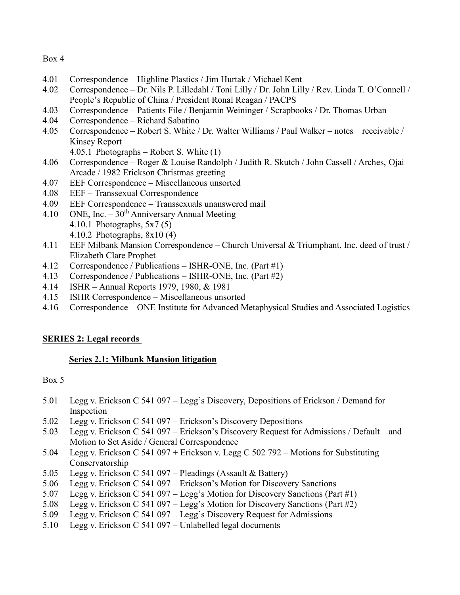- 4.01 Correspondence Highline Plastics / Jim Hurtak / Michael Kent
- 4.02 Correspondence Dr. Nils P. Lilledahl / Toni Lilly / Dr. John Lilly / Rev. Linda T. O'Connell / People's Republic of China / President Ronal Reagan / PACPS
- 4.03 Correspondence Patients File / Benjamin Weininger / Scrapbooks / Dr. Thomas Urban
- 4.04 Correspondence Richard Sabatino
- 4.05 Correspondence Robert S. White / Dr. Walter Williams / Paul Walker notes receivable / Kinsey Report

4.05.1 Photographs – Robert S. White (1)

- 4.06 Correspondence Roger & Louise Randolph / Judith R. Skutch / John Cassell / Arches, Ojai Arcade / 1982 Erickson Christmas greeting
- 4.07 EEF Correspondence Miscellaneous unsorted
- 4.08 EEF Transsexual Correspondence
- 4.09 EEF Correspondence Transsexuals unanswered mail
- 4.10 ONE, Inc.  $-30<sup>th</sup>$  Anniversary Annual Meeting
	- 4.10.1 Photographs, 5x7 (5)
	- 4.10.2 Photographs, 8x10 (4)
- 4.11 EEF Milbank Mansion Correspondence Church Universal & Triumphant, Inc. deed of trust / Elizabeth Clare Prophet
- 4.12 Correspondence / Publications ISHR-ONE, Inc. (Part #1)
- 4.13 Correspondence / Publications ISHR-ONE, Inc. (Part #2)
- 4.14 ISHR Annual Reports 1979, 1980, & 1981
- 4.15 ISHR Correspondence Miscellaneous unsorted
- 4.16 Correspondence ONE Institute for Advanced Metaphysical Studies and Associated Logistics

## **SERIES 2: Legal records**

## **Series 2.1: Milbank Mansion litigation**

- 5.01 Legg v. Erickson C 541 097 Legg's Discovery, Depositions of Erickson / Demand for Inspection
- 5.02 Legg v. Erickson C 541 097 Erickson's Discovery Depositions
- 5.03 Legg v. Erickson C 541 097 Erickson's Discovery Request for Admissions / Default and Motion to Set Aside / General Correspondence
- 5.04 Legg v. Erickson C 541 097 + Erickson v. Legg C 502 792 Motions for Substituting Conservatorship
- 5.05 Legg v. Erickson C 541 097 Pleadings (Assault & Battery)
- 5.06 Legg v. Erickson C 541 097 Erickson's Motion for Discovery Sanctions
- 5.07 Legg v. Erickson C 541 097 Legg's Motion for Discovery Sanctions (Part #1)
- 5.08 Legg v. Erickson C 541 097 Legg's Motion for Discovery Sanctions (Part #2)
- 5.09 Legg v. Erickson C 541 097 Legg's Discovery Request for Admissions
- 5.10 Legg v. Erickson C 541 097 Unlabelled legal documents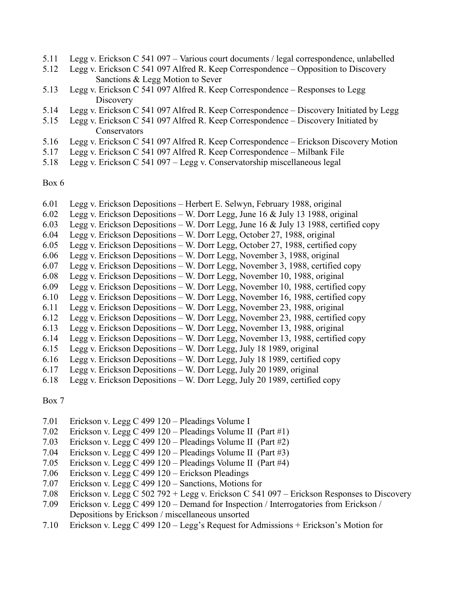- 5.11 Legg v. Erickson C 541 097 Various court documents / legal correspondence, unlabelled
- 5.12 Legg v. Erickson C 541 097 Alfred R. Keep Correspondence Opposition to Discovery Sanctions & Legg Motion to Sever
- 5.13 Legg v. Erickson C 541 097 Alfred R. Keep Correspondence Responses to Legg **Discovery**
- 5.14 Legg v. Erickson C 541 097 Alfred R. Keep Correspondence Discovery Initiated by Legg
- 5.15 Legg v. Erickson C 541 097 Alfred R. Keep Correspondence Discovery Initiated by Conservators
- 5.16 Legg v. Erickson C 541 097 Alfred R. Keep Correspondence Erickson Discovery Motion
- 5.17 Legg v. Erickson C 541 097 Alfred R. Keep Correspondence Milbank File
- 5.18 Legg v. Erickson C 541 097 Legg v. Conservatorship miscellaneous legal

- 6.01 Legg v. Erickson Depositions Herbert E. Selwyn, February 1988, original
- 6.02 Legg v. Erickson Depositions W. Dorr Legg, June 16 & July 13 1988, original
- 6.03 Legg v. Erickson Depositions W. Dorr Legg, June 16 & July 13 1988, certified copy
- 6.04 Legg v. Erickson Depositions W. Dorr Legg, October 27, 1988, original
- 6.05 Legg v. Erickson Depositions W. Dorr Legg, October 27, 1988, certified copy
- 6.06 Legg v. Erickson Depositions W. Dorr Legg, November 3, 1988, original
- 6.07 Legg v. Erickson Depositions W. Dorr Legg, November 3, 1988, certified copy
- 6.08 Legg v. Erickson Depositions W. Dorr Legg, November 10, 1988, original
- 6.09 Legg v. Erickson Depositions W. Dorr Legg, November 10, 1988, certified copy
- 6.10 Legg v. Erickson Depositions W. Dorr Legg, November 16, 1988, certified copy
- 6.11 Legg v. Erickson Depositions W. Dorr Legg, November 23, 1988, original
- 6.12 Legg v. Erickson Depositions W. Dorr Legg, November 23, 1988, certified copy
- 6.13 Legg v. Erickson Depositions W. Dorr Legg, November 13, 1988, original
- 6.14 Legg v. Erickson Depositions W. Dorr Legg, November 13, 1988, certified copy
- 6.15 Legg v. Erickson Depositions W. Dorr Legg, July 18 1989, original
- 6.16 Legg v. Erickson Depositions W. Dorr Legg, July 18 1989, certified copy
- 6.17 Legg v. Erickson Depositions W. Dorr Legg, July 20 1989, original
- 6.18 Legg v. Erickson Depositions W. Dorr Legg, July 20 1989, certified copy

- 7.01 Erickson v. Legg C 499 120 Pleadings Volume I
- 7.02 Erickson v. Legg C 499 120 Pleadings Volume II (Part #1)
- 7.03 Erickson v. Legg C 499 120 Pleadings Volume II (Part #2)
- 7.04 Erickson v. Legg C 499 120 Pleadings Volume II (Part #3)
- 7.05 Erickson v. Legg C 499 120 Pleadings Volume II (Part #4)
- 7.06 Erickson v. Legg C 499 120 Erickson Pleadings
- 7.07 Erickson v. Legg C 499 120 Sanctions, Motions for
- 7.08 Erickson v. Legg C 502 792 + Legg v. Erickson C 541 097 Erickson Responses to Discovery
- 7.09 Erickson v. Legg C 499 120 Demand for Inspection / Interrogatories from Erickson / Depositions by Erickson / miscellaneous unsorted
- 7.10 Erickson v. Legg C 499 120 Legg's Request for Admissions + Erickson's Motion for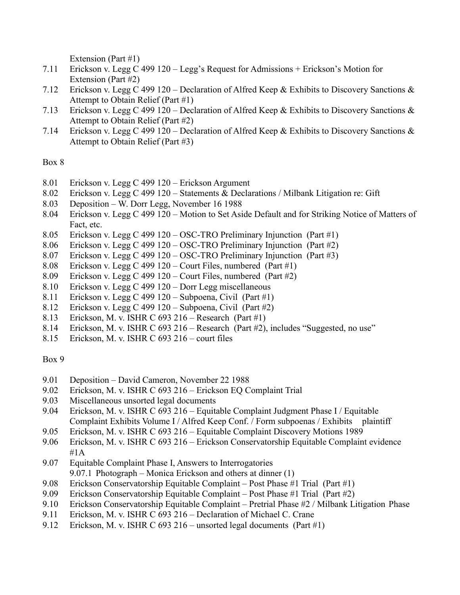Extension (Part #1)

- 7.11 Erickson v. Legg C 499 120 Legg's Request for Admissions + Erickson's Motion for Extension (Part #2)
- 7.12 Erickson v. Legg C 499 120 Declaration of Alfred Keep & Exhibits to Discovery Sanctions & Attempt to Obtain Relief (Part #1)
- 7.13 Erickson v. Legg C 499 120 Declaration of Alfred Keep & Exhibits to Discovery Sanctions & Attempt to Obtain Relief (Part #2)
- 7.14 Erickson v. Legg C 499 120 Declaration of Alfred Keep & Exhibits to Discovery Sanctions & Attempt to Obtain Relief (Part #3)

## Box 8

- 8.01 Erickson v. Legg C 499 120 Erickson Argument
- 8.02 Erickson v. Legg C 499 120 Statements & Declarations / Milbank Litigation re: Gift
- 8.03 Deposition W. Dorr Legg, November 16 1988
- 8.04 Erickson v. Legg C 499 120 Motion to Set Aside Default and for Striking Notice of Matters of Fact, etc.
- 8.05 Erickson v. Legg C 499 120 OSC-TRO Preliminary Injunction (Part #1)
- 8.06 Erickson v. Legg C 499 120 OSC-TRO Preliminary Injunction (Part #2)
- 8.07 Erickson v. Legg C 499 120 OSC-TRO Preliminary Injunction (Part #3)
- 8.08 Erickson v. Legg C 499 120 Court Files, numbered (Part #1)
- 8.09 Erickson v. Legg C 499 120 Court Files, numbered (Part #2)
- 8.10 Erickson v. Legg C 499 120 Dorr Legg miscellaneous
- 8.11 Erickson v. Legg C 499 120 Subpoena, Civil (Part #1)
- 8.12 Erickson v. Legg C 499 120 Subpoena, Civil (Part #2)
- 8.13 Erickson, M. v. ISHR C 693 216 Research (Part #1)
- 8.14 Erickson, M. v. ISHR C 693 216 Research (Part #2), includes "Suggested, no use"
- 8.15 Erickson, M. v. ISHR C 693 216 court files

- 9.01 Deposition David Cameron, November 22 1988
- 9.02 Erickson, M. v. ISHR C 693 216 Erickson EQ Complaint Trial
- 9.03 Miscellaneous unsorted legal documents
- 9.04 Erickson, M. v. ISHR C 693 216 Equitable Complaint Judgment Phase I / Equitable Complaint Exhibits Volume I / Alfred Keep Conf. / Form subpoenas / Exhibits plaintiff
- 9.05 Erickson, M. v. ISHR C 693 216 Equitable Complaint Discovery Motions 1989
- 9.06 Erickson, M. v. ISHR C 693 216 Erickson Conservatorship Equitable Complaint evidence #1A
- 9.07 Equitable Complaint Phase I, Answers to Interrogatories 9.07.1 Photograph – Monica Erickson and others at dinner (1)
- 9.08 Erickson Conservatorship Equitable Complaint Post Phase #1 Trial (Part #1)
- 9.09 Erickson Conservatorship Equitable Complaint Post Phase #1 Trial (Part #2)
- 9.10 Erickson Conservatorship Equitable Complaint Pretrial Phase #2 / Milbank Litigation Phase
- 9.11 Erickson, M. v. ISHR C 693 216 Declaration of Michael C. Crane
- 9.12 Erickson, M. v. ISHR C 693 216 unsorted legal documents (Part #1)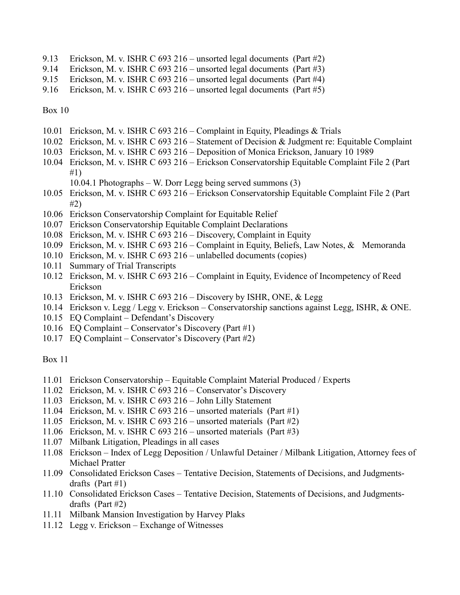- 9.13 Erickson, M. v. ISHR C 693 216 unsorted legal documents (Part #2)
- 9.14 Erickson, M. v. ISHR C 693 216 unsorted legal documents (Part #3)
- 9.15 Erickson, M. v. ISHR C 693 216 unsorted legal documents (Part #4)
- 9.16 Erickson, M. v. ISHR C 693 216 unsorted legal documents (Part #5)

- 10.01 Erickson, M. v. ISHR C 693 216 Complaint in Equity, Pleadings & Trials
- 10.02 Erickson, M. v. ISHR C 693 216 Statement of Decision & Judgment re: Equitable Complaint
- 10.03 Erickson, M. v. ISHR C 693 216 Deposition of Monica Erickson, January 10 1989
- 10.04 Erickson, M. v. ISHR C 693 216 Erickson Conservatorship Equitable Complaint File 2 (Part #1)
	- 10.04.1 Photographs W. Dorr Legg being served summons (3)
- 10.05 Erickson, M. v. ISHR C 693 216 Erickson Conservatorship Equitable Complaint File 2 (Part #2)
- 10.06 Erickson Conservatorship Complaint for Equitable Relief
- 10.07 Erickson Conservatorship Equitable Complaint Declarations
- 10.08 Erickson, M. v. ISHR C 693 216 Discovery, Complaint in Equity
- 10.09 Erickson, M. v. ISHR C 693 216 Complaint in Equity, Beliefs, Law Notes, & Memoranda
- 10.10 Erickson, M. v. ISHR C 693 216 unlabelled documents (copies)
- 10.11 Summary of Trial Transcripts
- 10.12 Erickson, M. v. ISHR C 693 216 Complaint in Equity, Evidence of Incompetency of Reed Erickson
- 10.13 Erickson, M. v. ISHR C 693 216 Discovery by ISHR, ONE, & Legg
- 10.14 Erickson v. Legg / Legg v. Erickson Conservatorship sanctions against Legg, ISHR, & ONE.
- 10.15 EQ Complaint Defendant's Discovery
- 10.16 EQ Complaint Conservator's Discovery (Part #1)
- 10.17 EQ Complaint Conservator's Discovery (Part #2)

- 11.01 Erickson Conservatorship Equitable Complaint Material Produced / Experts
- 11.02 Erickson, M. v. ISHR C 693 216 Conservator's Discovery
- 11.03 Erickson, M. v. ISHR C 693 216 John Lilly Statement
- 11.04 Erickson, M. v. ISHR C 693 216 unsorted materials (Part #1)
- 11.05 Erickson, M. v. ISHR C 693 216 unsorted materials (Part #2)
- 11.06 Erickson, M. v. ISHR C 693 216 unsorted materials (Part #3)
- 11.07 Milbank Litigation, Pleadings in all cases
- 11.08 Erickson Index of Legg Deposition / Unlawful Detainer / Milbank Litigation, Attorney fees of Michael Pratter
- 11.09 Consolidated Erickson Cases Tentative Decision, Statements of Decisions, and Judgmentsdrafts (Part #1)
- 11.10 Consolidated Erickson Cases Tentative Decision, Statements of Decisions, and Judgmentsdrafts (Part #2)
- 11.11 Milbank Mansion Investigation by Harvey Plaks
- 11.12 Legg v. Erickson Exchange of Witnesses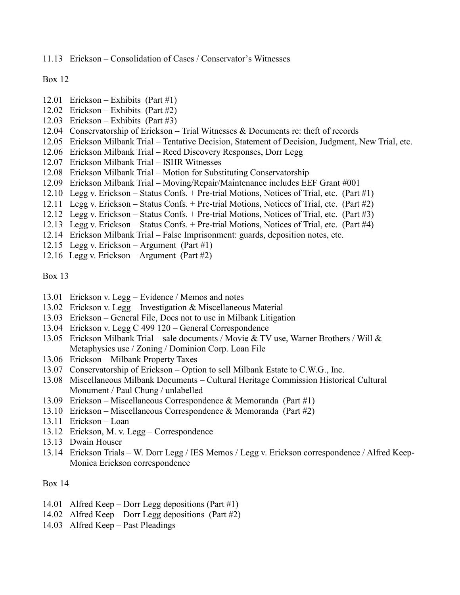11.13 Erickson – Consolidation of Cases / Conservator's Witnesses

Box 12

- 12.01 Erickson Exhibits (Part #1)
- 12.02 Erickson Exhibits (Part #2)
- 12.03 Erickson Exhibits (Part #3)
- 12.04 Conservatorship of Erickson Trial Witnesses & Documents re: theft of records
- 12.05 Erickson Milbank Trial Tentative Decision, Statement of Decision, Judgment, New Trial, etc.
- 12.06 Erickson Milbank Trial Reed Discovery Responses, Dorr Legg
- 12.07 Erickson Milbank Trial ISHR Witnesses
- 12.08 Erickson Milbank Trial Motion for Substituting Conservatorship
- 12.09 Erickson Milbank Trial Moving/Repair/Maintenance includes EEF Grant #001
- 12.10 Legg v. Erickson Status Confs. + Pre-trial Motions, Notices of Trial, etc. (Part #1)
- 12.11 Legg v. Erickson Status Confs. + Pre-trial Motions, Notices of Trial, etc. (Part #2)
- 12.12 Legg v. Erickson Status Confs. + Pre-trial Motions, Notices of Trial, etc. (Part #3)
- 12.13 Legg v. Erickson Status Confs. + Pre-trial Motions, Notices of Trial, etc. (Part #4)
- 12.14 Erickson Milbank Trial False Imprisonment: guards, deposition notes, etc.
- 12.15 Legg v. Erickson Argument (Part #1)
- 12.16 Legg v. Erickson Argument (Part #2)

Box 13

- 13.01 Erickson v. Legg Evidence / Memos and notes
- 13.02 Erickson v. Legg Investigation & Miscellaneous Material
- 13.03 Erickson General File, Docs not to use in Milbank Litigation
- 13.04 Erickson v. Legg C 499 120 General Correspondence
- 13.05 Erickson Milbank Trial sale documents / Movie & TV use, Warner Brothers / Will & Metaphysics use / Zoning / Dominion Corp. Loan File
- 13.06 Erickson Milbank Property Taxes
- 13.07 Conservatorship of Erickson Option to sell Milbank Estate to C.W.G., Inc.
- 13.08 Miscellaneous Milbank Documents Cultural Heritage Commission Historical Cultural Monument / Paul Chung / unlabelled
- 13.09 Erickson Miscellaneous Correspondence & Memoranda (Part #1)
- 13.10 Erickson Miscellaneous Correspondence & Memoranda (Part #2)
- 13.11 Erickson Loan
- 13.12 Erickson, M. v. Legg Correspondence
- 13.13 Dwain Houser
- 13.14 Erickson Trials W. Dorr Legg / IES Memos / Legg v. Erickson correspondence / Alfred Keep-Monica Erickson correspondence

- 14.01 Alfred Keep Dorr Legg depositions (Part #1)
- 14.02 Alfred Keep Dorr Legg depositions (Part #2)
- 14.03 Alfred Keep Past Pleadings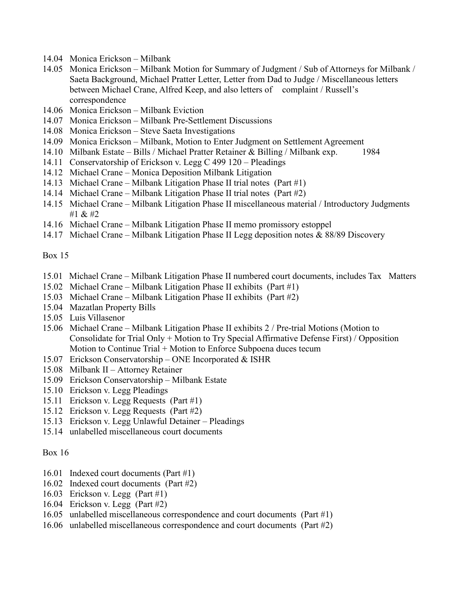- 14.04 Monica Erickson Milbank
- 14.05 Monica Erickson Milbank Motion for Summary of Judgment / Sub of Attorneys for Milbank / Saeta Background, Michael Pratter Letter, Letter from Dad to Judge / Miscellaneous letters between Michael Crane, Alfred Keep, and also letters of complaint / Russell's correspondence
- 14.06 Monica Erickson Milbank Eviction
- 14.07 Monica Erickson Milbank Pre-Settlement Discussions
- 14.08 Monica Erickson Steve Saeta Investigations
- 14.09 Monica Erickson Milbank, Motion to Enter Judgment on Settlement Agreement
- 14.10 Milbank Estate Bills / Michael Pratter Retainer & Billing / Milbank exp. 1984
- 14.11 Conservatorship of Erickson v. Legg C 499 120 Pleadings
- 14.12 Michael Crane Monica Deposition Milbank Litigation
- 14.13 Michael Crane Milbank Litigation Phase II trial notes (Part #1)
- 14.14 Michael Crane Milbank Litigation Phase II trial notes (Part #2)
- 14.15 Michael Crane Milbank Litigation Phase II miscellaneous material / Introductory Judgments #1 & #2
- 14.16 Michael Crane Milbank Litigation Phase II memo promissory estoppel
- 14.17 Michael Crane Milbank Litigation Phase II Legg deposition notes & 88/89 Discovery

- 15.01 Michael Crane Milbank Litigation Phase II numbered court documents, includes Tax Matters
- 15.02 Michael Crane Milbank Litigation Phase II exhibits (Part #1)
- 15.03 Michael Crane Milbank Litigation Phase II exhibits (Part #2)
- 15.04 Mazatlan Property Bills
- 15.05 Luis Villasenor
- 15.06 Michael Crane Milbank Litigation Phase II exhibits 2 / Pre-trial Motions (Motion to Consolidate for Trial Only + Motion to Try Special Affirmative Defense First) / Opposition Motion to Continue Trial + Motion to Enforce Subpoena duces tecum
- 15.07 Erickson Conservatorship ONE Incorporated & ISHR
- 15.08 Milbank II Attorney Retainer
- 15.09 Erickson Conservatorship Milbank Estate
- 15.10 Erickson v. Legg Pleadings
- 15.11 Erickson v. Legg Requests (Part #1)
- 15.12 Erickson v. Legg Requests (Part #2)
- 15.13 Erickson v. Legg Unlawful Detainer Pleadings
- 15.14 unlabelled miscellaneous court documents

- 16.01 Indexed court documents (Part #1)
- 16.02 Indexed court documents (Part #2)
- 16.03 Erickson v. Legg (Part #1)
- 16.04 Erickson v. Legg (Part #2)
- 16.05 unlabelled miscellaneous correspondence and court documents (Part #1)
- 16.06 unlabelled miscellaneous correspondence and court documents (Part #2)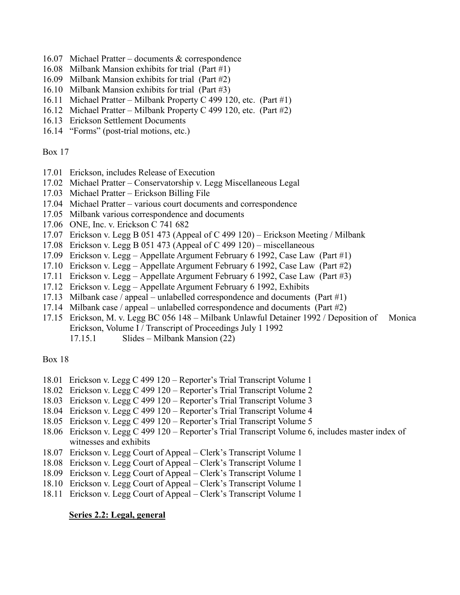- 16.07 Michael Pratter documents & correspondence
- 16.08 Milbank Mansion exhibits for trial (Part #1)
- 16.09 Milbank Mansion exhibits for trial (Part #2)
- 16.10 Milbank Mansion exhibits for trial (Part #3)
- 16.11 Michael Pratter Milbank Property C 499 120, etc. (Part #1)
- 16.12 Michael Pratter Milbank Property C 499 120, etc. (Part #2)
- 16.13 Erickson Settlement Documents
- 16.14 "Forms" (post-trial motions, etc.)

- 17.01 Erickson, includes Release of Execution
- 17.02 Michael Pratter Conservatorship v. Legg Miscellaneous Legal
- 17.03 Michael Pratter Erickson Billing File
- 17.04 Michael Pratter various court documents and correspondence
- 17.05 Milbank various correspondence and documents
- 17.06 ONE, Inc. v. Erickson C 741 682
- 17.07 Erickson v. Legg B 051 473 (Appeal of C 499 120) Erickson Meeting / Milbank
- 17.08 Erickson v. Legg B 051 473 (Appeal of C 499 120) miscellaneous
- 17.09 Erickson v. Legg Appellate Argument February 6 1992, Case Law (Part #1)
- 17.10 Erickson v. Legg Appellate Argument February 6 1992, Case Law (Part #2)
- 17.11 Erickson v. Legg Appellate Argument February 6 1992, Case Law (Part #3)
- 17.12 Erickson v. Legg Appellate Argument February 6 1992, Exhibits
- 17.13 Milbank case / appeal unlabelled correspondence and documents (Part #1)
- 17.14 Milbank case / appeal unlabelled correspondence and documents (Part #2)
- 17.15 Erickson, M. v. Legg BC 056 148 Milbank Unlawful Detainer 1992 / Deposition of Monica Erickson, Volume I / Transcript of Proceedings July 1 1992
	- 17.15.1 Slides Milbank Mansion (22)

Box 18

- 18.01 Erickson v. Legg C 499 120 Reporter's Trial Transcript Volume 1
- 18.02 Erickson v. Legg C 499 120 Reporter's Trial Transcript Volume 2
- 18.03 Erickson v. Legg C 499 120 Reporter's Trial Transcript Volume 3
- 18.04 Erickson v. Legg C 499 120 Reporter's Trial Transcript Volume 4
- 18.05 Erickson v. Legg C 499 120 Reporter's Trial Transcript Volume 5
- 18.06 Erickson v. Legg C 499 120 Reporter's Trial Transcript Volume 6, includes master index of witnesses and exhibits
- 18.07 Erickson v. Legg Court of Appeal Clerk's Transcript Volume 1
- 18.08 Erickson v. Legg Court of Appeal Clerk's Transcript Volume 1
- 18.09 Erickson v. Legg Court of Appeal Clerk's Transcript Volume 1
- 18.10 Erickson v. Legg Court of Appeal Clerk's Transcript Volume 1
- 18.11 Erickson v. Legg Court of Appeal Clerk's Transcript Volume 1

#### **Series 2.2: Legal, general**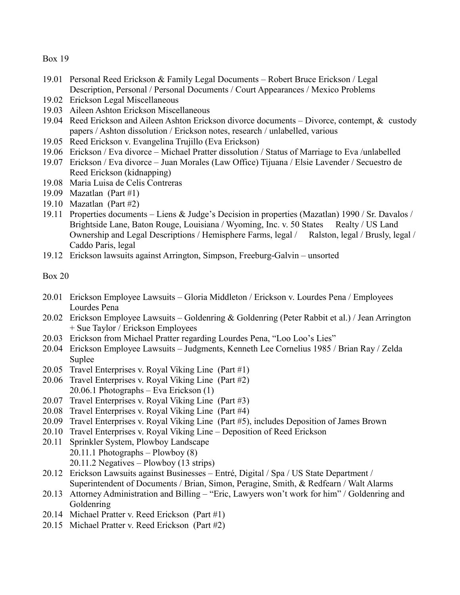- 19.01 Personal Reed Erickson & Family Legal Documents Robert Bruce Erickson / Legal Description, Personal / Personal Documents / Court Appearances / Mexico Problems
- 19.02 Erickson Legal Miscellaneous
- 19.03 Aileen Ashton Erickson Miscellaneous
- 19.04 Reed Erickson and Aileen Ashton Erickson divorce documents Divorce, contempt, & custody papers / Ashton dissolution / Erickson notes, research / unlabelled, various
- 19.05 Reed Erickson v. Evangelina Trujillo (Eva Erickson)
- 19.06 Erickson / Eva divorce Michael Pratter dissolution / Status of Marriage to Eva /unlabelled
- 19.07 Erickson / Eva divorce Juan Morales (Law Office) Tijuana / Elsie Lavender / Secuestro de Reed Erickson (kidnapping)
- 19.08 Maria Luisa de Celis Contreras
- 19.09 Mazatlan (Part #1)
- 19.10 Mazatlan (Part #2)
- 19.11 Properties documents Liens & Judge's Decision in properties (Mazatlan) 1990 / Sr. Davalos / Brightside Lane, Baton Rouge, Louisiana / Wyoming, Inc. v. 50 States Realty / US Land Ownership and Legal Descriptions / Hemisphere Farms, legal / Ralston, legal / Brusly, legal / Caddo Paris, legal
- 19.12 Erickson lawsuits against Arrington, Simpson, Freeburg-Galvin unsorted

- 20.01 Erickson Employee Lawsuits Gloria Middleton / Erickson v. Lourdes Pena / Employees Lourdes Pena
- 20.02 Erickson Employee Lawsuits Goldenring & Goldenring (Peter Rabbit et al.) / Jean Arrington + Sue Taylor / Erickson Employees
- 20.03 Erickson from Michael Pratter regarding Lourdes Pena, "Loo Loo's Lies"
- 20.04 Erickson Employee Lawsuits Judgments, Kenneth Lee Cornelius 1985 / Brian Ray / Zelda Suplee
- 20.05 Travel Enterprises v. Royal Viking Line (Part #1)
- 20.06 Travel Enterprises v. Royal Viking Line (Part #2) 20.06.1 Photographs – Eva Erickson (1)
- 20.07 Travel Enterprises v. Royal Viking Line (Part #3)
- 20.08 Travel Enterprises v. Royal Viking Line (Part #4)
- 20.09 Travel Enterprises v. Royal Viking Line (Part #5), includes Deposition of James Brown
- 20.10 Travel Enterprises v. Royal Viking Line Deposition of Reed Erickson
- 20.11 Sprinkler System, Plowboy Landscape 20.11.1 Photographs – Plowboy (8) 20.11.2 Negatives – Plowboy (13 strips)
- 20.12 Erickson Lawsuits against Businesses Entré, Digital / Spa / US State Department / Superintendent of Documents / Brian, Simon, Peragine, Smith, & Redfearn / Walt Alarms
- 20.13 Attorney Administration and Billing "Eric, Lawyers won't work for him" / Goldenring and Goldenring
- 20.14 Michael Pratter v. Reed Erickson (Part #1)
- 20.15 Michael Pratter v. Reed Erickson (Part #2)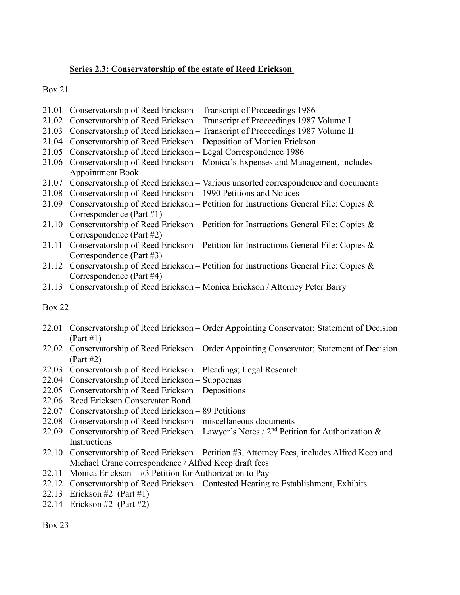## **Series 2.3: Conservatorship of the estate of Reed Erickson**

Box 21

- 21.01 Conservatorship of Reed Erickson Transcript of Proceedings 1986
- 21.02 Conservatorship of Reed Erickson Transcript of Proceedings 1987 Volume I
- 21.03 Conservatorship of Reed Erickson Transcript of Proceedings 1987 Volume II
- 21.04 Conservatorship of Reed Erickson Deposition of Monica Erickson
- 21.05 Conservatorship of Reed Erickson Legal Correspondence 1986
- 21.06 Conservatorship of Reed Erickson Monica's Expenses and Management, includes Appointment Book
- 21.07 Conservatorship of Reed Erickson Various unsorted correspondence and documents
- 21.08 Conservatorship of Reed Erickson 1990 Petitions and Notices
- 21.09 Conservatorship of Reed Erickson Petition for Instructions General File: Copies & Correspondence (Part #1)
- 21.10 Conservatorship of Reed Erickson Petition for Instructions General File: Copies  $\&$ Correspondence (Part #2)
- 21.11 Conservatorship of Reed Erickson Petition for Instructions General File: Copies & Correspondence (Part #3)
- 21.12 Conservatorship of Reed Erickson Petition for Instructions General File: Copies & Correspondence (Part #4)
- 21.13 Conservatorship of Reed Erickson Monica Erickson / Attorney Peter Barry

Box 22

- 22.01 Conservatorship of Reed Erickson Order Appointing Conservator; Statement of Decision (Part #1)
- 22.02 Conservatorship of Reed Erickson Order Appointing Conservator; Statement of Decision (Part #2)
- 22.03 Conservatorship of Reed Erickson Pleadings; Legal Research
- 22.04 Conservatorship of Reed Erickson Subpoenas
- 22.05 Conservatorship of Reed Erickson Depositions
- 22.06 Reed Erickson Conservator Bond
- 22.07 Conservatorship of Reed Erickson 89 Petitions
- 22.08 Conservatorship of Reed Erickson miscellaneous documents
- 22.09 Conservatorship of Reed Erickson Lawyer's Notes /  $2<sup>nd</sup>$  Petition for Authorization & Instructions
- 22.10 Conservatorship of Reed Erickson Petition #3, Attorney Fees, includes Alfred Keep and Michael Crane correspondence / Alfred Keep draft fees
- 22.11 Monica Erickson  $-$  #3 Petition for Authorization to Pay
- 22.12 Conservatorship of Reed Erickson Contested Hearing re Establishment, Exhibits
- 22.13 Erickson #2 (Part #1)
- 22.14 Erickson #2 (Part #2)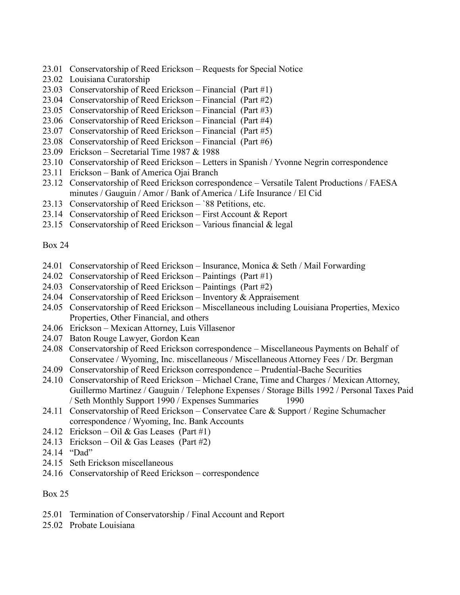- 23.01 Conservatorship of Reed Erickson Requests for Special Notice
- 23.02 Louisiana Curatorship
- 23.03 Conservatorship of Reed Erickson Financial (Part #1)
- 23.04 Conservatorship of Reed Erickson Financial (Part #2)
- 23.05 Conservatorship of Reed Erickson Financial (Part #3)
- 23.06 Conservatorship of Reed Erickson Financial (Part #4)
- 23.07 Conservatorship of Reed Erickson Financial (Part #5)
- 23.08 Conservatorship of Reed Erickson Financial (Part #6)
- 23.09 Erickson Secretarial Time 1987 & 1988
- 23.10 Conservatorship of Reed Erickson Letters in Spanish / Yvonne Negrin correspondence
- 23.11 Erickson Bank of America Ojai Branch
- 23.12 Conservatorship of Reed Erickson correspondence Versatile Talent Productions / FAESA minutes / Gauguin / Amor / Bank of America / Life Insurance / El Cid
- 23.13 Conservatorship of Reed Erickson `88 Petitions, etc.
- 23.14 Conservatorship of Reed Erickson First Account & Report
- 23.15 Conservatorship of Reed Erickson Various financial & legal

- 24.01 Conservatorship of Reed Erickson Insurance, Monica & Seth / Mail Forwarding
- 24.02 Conservatorship of Reed Erickson Paintings (Part #1)
- 24.03 Conservatorship of Reed Erickson Paintings (Part #2)
- 24.04 Conservatorship of Reed Erickson Inventory & Appraisement
- 24.05 Conservatorship of Reed Erickson Miscellaneous including Louisiana Properties, Mexico Properties, Other Financial, and others
- 24.06 Erickson Mexican Attorney, Luis Villasenor
- 24.07 Baton Rouge Lawyer, Gordon Kean
- 24.08 Conservatorship of Reed Erickson correspondence Miscellaneous Payments on Behalf of Conservatee / Wyoming, Inc. miscellaneous / Miscellaneous Attorney Fees / Dr. Bergman
- 24.09 Conservatorship of Reed Erickson correspondence Prudential-Bache Securities
- 24.10 Conservatorship of Reed Erickson Michael Crane, Time and Charges / Mexican Attorney, Guillermo Martinez / Gauguin / Telephone Expenses / Storage Bills 1992 / Personal Taxes Paid / Seth Monthly Support 1990 / Expenses Summaries 1990
- 24.11 Conservatorship of Reed Erickson Conservatee Care & Support / Regine Schumacher correspondence / Wyoming, Inc. Bank Accounts
- 24.12 Erickson Oil & Gas Leases (Part #1)
- 24.13 Erickson Oil & Gas Leases (Part #2)
- 24.14 "Dad"
- 24.15 Seth Erickson miscellaneous
- 24.16 Conservatorship of Reed Erickson correspondence

- 25.01 Termination of Conservatorship / Final Account and Report
- 25.02 Probate Louisiana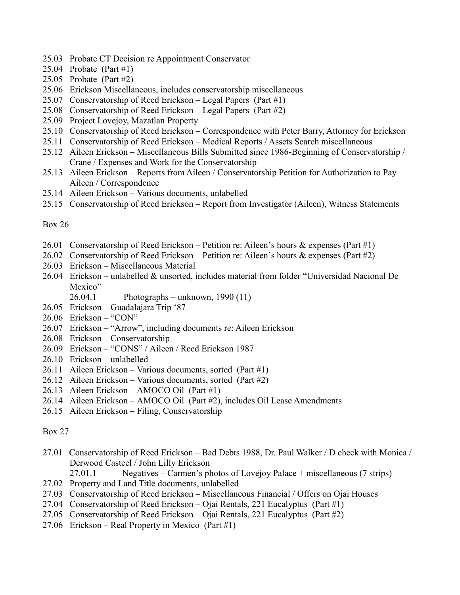- 25.03 Probate CT Decision re Appointment Conservator
- 25.04 Probate (Part #1)
- 25.05 Probate (Part #2)
- 25.06 Erickson Miscellaneous, includes conservatorship miscellaneous
- 25.07 Conservatorship of Reed Erickson Legal Papers (Part #1)
- 25.08 Conservatorship of Reed Erickson Legal Papers (Part #2)
- 25.09 Project Lovejoy, Mazatlan Property
- 25.10 Conservatorship of Reed Erickson Correspondence with Peter Barry, Attorney for Erickson
- 25.11 Conservatorship of Reed Erickson Medical Reports / Assets Search miscellaneous
- 25.12 Aileen Erickson Miscellaneous Bills Submitted since 1986-Beginning of Conservatorship / Crane / Expenses and Work for the Conservatorship
- 25.13 Aileen Erickson Reports from Aileen / Conservatorship Petition for Authorization to Pay Aileen / Correspondence
- 25.14 Aileen Erickson Various documents, unlabelled
- 25.15 Conservatorship of Reed Erickson Report from Investigator (Aileen), Witness Statements

- 26.01 Conservatorship of Reed Erickson Petition re: Aileen's hours & expenses (Part #1)
- 26.02 Conservatorship of Reed Erickson Petition re: Aileen's hours & expenses (Part #2)
- 26.03 Erickson Miscellaneous Material
- 26.04 Erickson unlabelled & unsorted, includes material from folder "Universidad Nacional De Mexico"

26.04.1 Photographs – unknown, 1990 (11)

- 26.05 Erickson Guadalajara Trip '87
- 26.06 Erickson "CON"
- 26.07 Erickson "Arrow", including documents re: Aileen Erickson
- 26.08 Erickson Conservatorship
- 26.09 Erickson "CONS" / Aileen / Reed Erickson 1987
- 26.10 Erickson unlabelled
- 26.11 Aileen Erickson Various documents, sorted (Part #1)
- 26.12 Aileen Erickson Various documents, sorted (Part #2)
- 26.13 Aileen Erickson AMOCO Oil (Part #1)
- 26.14 Aileen Erickson AMOCO Oil (Part #2), includes Oil Lease Amendments
- 26.15 Aileen Erickson Filing, Conservatorship

- 27.01 Conservatorship of Reed Erickson Bad Debts 1988, Dr. Paul Walker / D check with Monica / Derwood Casteel / John Lilly Erickson
	- 27.01.1 Negatives Carmen's photos of Lovejoy Palace + miscellaneous (7 strips)
- 27.02 Property and Land Title documents, unlabelled
- 27.03 Conservatorship of Reed Erickson Miscellaneous Financial / Offers on Ojai Houses
- 27.04 Conservatorship of Reed Erickson Ojai Rentals, 221 Eucalyptus (Part #1)
- 27.05 Conservatorship of Reed Erickson Ojai Rentals, 221 Eucalyptus (Part #2)
- 27.06 Erickson Real Property in Mexico (Part #1)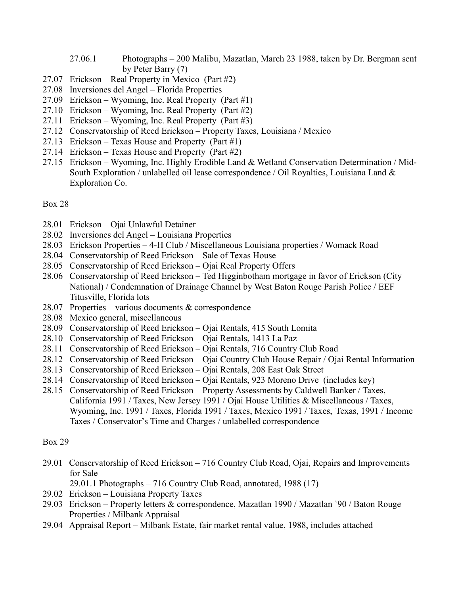- 27.06.1 Photographs 200 Malibu, Mazatlan, March 23 1988, taken by Dr. Bergman sent by Peter Barry (7)
- 27.07 Erickson Real Property in Mexico (Part #2)
- 27.08 Inversiones del Angel Florida Properties
- 27.09 Erickson Wyoming, Inc. Real Property (Part #1)
- 27.10 Erickson Wyoming, Inc. Real Property (Part #2)
- 27.11 Erickson Wyoming, Inc. Real Property (Part #3)
- 27.12 Conservatorship of Reed Erickson Property Taxes, Louisiana / Mexico
- 27.13 Erickson Texas House and Property (Part #1)
- 27.14 Erickson Texas House and Property (Part #2)
- 27.15 Erickson Wyoming, Inc. Highly Erodible Land & Wetland Conservation Determination / Mid-South Exploration / unlabelled oil lease correspondence / Oil Royalties, Louisiana Land & Exploration Co.

- 28.01 Erickson Ojai Unlawful Detainer
- 28.02 Inversiones del Angel Louisiana Properties
- 28.03 Erickson Properties 4-H Club / Miscellaneous Louisiana properties / Womack Road
- 28.04 Conservatorship of Reed Erickson Sale of Texas House
- 28.05 Conservatorship of Reed Erickson Ojai Real Property Offers
- 28.06 Conservatorship of Reed Erickson Ted Higginbotham mortgage in favor of Erickson (City National) / Condemnation of Drainage Channel by West Baton Rouge Parish Police / EEF Titusville, Florida lots
- 28.07 Properties various documents & correspondence
- 28.08 Mexico general, miscellaneous
- 28.09 Conservatorship of Reed Erickson Ojai Rentals, 415 South Lomita
- 28.10 Conservatorship of Reed Erickson Ojai Rentals, 1413 La Paz
- 28.11 Conservatorship of Reed Erickson Ojai Rentals, 716 Country Club Road
- 28.12 Conservatorship of Reed Erickson Ojai Country Club House Repair / Ojai Rental Information
- 28.13 Conservatorship of Reed Erickson Ojai Rentals, 208 East Oak Street
- 28.14 Conservatorship of Reed Erickson Ojai Rentals, 923 Moreno Drive (includes key)
- 28.15 Conservatorship of Reed Erickson Property Assessments by Caldwell Banker / Taxes, California 1991 / Taxes, New Jersey 1991 / Ojai House Utilities & Miscellaneous / Taxes, Wyoming, Inc. 1991 / Taxes, Florida 1991 / Taxes, Mexico 1991 / Taxes, Texas, 1991 / Income Taxes / Conservator's Time and Charges / unlabelled correspondence

- 29.01 Conservatorship of Reed Erickson 716 Country Club Road, Ojai, Repairs and Improvements for Sale
	- 29.01.1 Photographs 716 Country Club Road, annotated, 1988 (17)
- 29.02 Erickson Louisiana Property Taxes
- 29.03 Erickson Property letters & correspondence, Mazatlan 1990 / Mazatlan `90 / Baton Rouge Properties / Milbank Appraisal
- 29.04 Appraisal Report Milbank Estate, fair market rental value, 1988, includes attached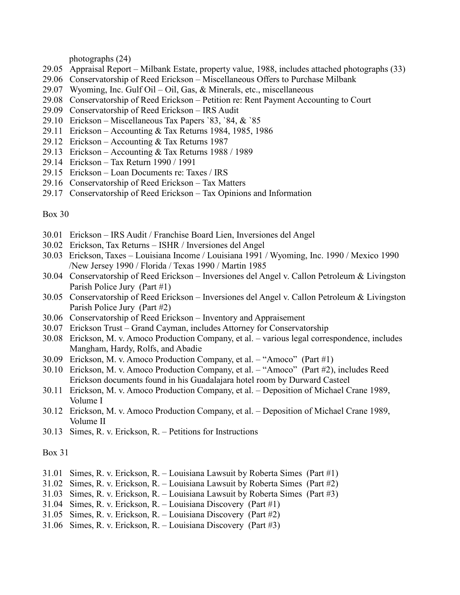photographs (24)

- 29.05 Appraisal Report Milbank Estate, property value, 1988, includes attached photographs (33)
- 29.06 Conservatorship of Reed Erickson Miscellaneous Offers to Purchase Milbank
- 29.07 Wyoming, Inc. Gulf Oil Oil, Gas, & Minerals, etc., miscellaneous
- 29.08 Conservatorship of Reed Erickson Petition re: Rent Payment Accounting to Court
- 29.09 Conservatorship of Reed Erickson IRS Audit
- 29.10 Erickson Miscellaneous Tax Papers `83, `84, & `85
- 29.11 Erickson Accounting & Tax Returns 1984, 1985, 1986
- 29.12 Erickson Accounting & Tax Returns 1987
- 29.13 Erickson Accounting & Tax Returns 1988 / 1989
- 29.14 Erickson Tax Return 1990 / 1991
- 29.15 Erickson Loan Documents re: Taxes / IRS
- 29.16 Conservatorship of Reed Erickson Tax Matters
- 29.17 Conservatorship of Reed Erickson Tax Opinions and Information

#### Box 30

- 30.01 Erickson IRS Audit / Franchise Board Lien, Inversiones del Angel
- 30.02 Erickson, Tax Returns ISHR / Inversiones del Angel
- 30.03 Erickson, Taxes Louisiana Income / Louisiana 1991 / Wyoming, Inc. 1990 / Mexico 1990 /New Jersey 1990 / Florida / Texas 1990 / Martin 1985
- 30.04 Conservatorship of Reed Erickson Inversiones del Angel v. Callon Petroleum & Livingston Parish Police Jury (Part #1)
- 30.05 Conservatorship of Reed Erickson Inversiones del Angel v. Callon Petroleum & Livingston Parish Police Jury (Part #2)
- 30.06 Conservatorship of Reed Erickson Inventory and Appraisement
- 30.07 Erickson Trust Grand Cayman, includes Attorney for Conservatorship
- 30.08 Erickson, M. v. Amoco Production Company, et al. various legal correspondence, includes Mangham, Hardy, Rolfs, and Abadie
- 30.09 Erickson, M. v. Amoco Production Company, et al. "Amoco" (Part #1)
- 30.10 Erickson, M. v. Amoco Production Company, et al. "Amoco" (Part #2), includes Reed Erickson documents found in his Guadalajara hotel room by Durward Casteel
- 30.11 Erickson, M. v. Amoco Production Company, et al. Deposition of Michael Crane 1989, Volume I
- 30.12 Erickson, M. v. Amoco Production Company, et al. Deposition of Michael Crane 1989, Volume II
- 30.13 Simes, R. v. Erickson, R. Petitions for Instructions

- 31.01 Simes, R. v. Erickson, R. Louisiana Lawsuit by Roberta Simes (Part #1)
- 31.02 Simes, R. v. Erickson, R. Louisiana Lawsuit by Roberta Simes (Part #2)
- 31.03 Simes, R. v. Erickson, R. Louisiana Lawsuit by Roberta Simes (Part #3)
- 31.04 Simes, R. v. Erickson, R. Louisiana Discovery (Part #1)
- 31.05 Simes, R. v. Erickson, R. Louisiana Discovery (Part #2)
- 31.06 Simes, R. v. Erickson, R. Louisiana Discovery (Part #3)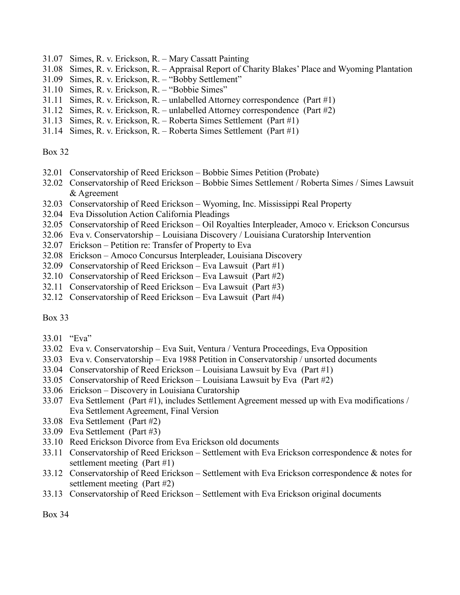- 31.07 Simes, R. v. Erickson, R. Mary Cassatt Painting
- 31.08 Simes, R. v. Erickson, R. Appraisal Report of Charity Blakes' Place and Wyoming Plantation
- 31.09 Simes, R. v. Erickson, R. "Bobby Settlement"
- 31.10 Simes, R. v. Erickson, R. "Bobbie Simes"
- 31.11 Simes, R. v. Erickson, R. unlabelled Attorney correspondence (Part #1)
- 31.12 Simes, R. v. Erickson, R. unlabelled Attorney correspondence (Part #2)
- 31.13 Simes, R. v. Erickson, R. Roberta Simes Settlement (Part #1)
- 31.14 Simes, R. v. Erickson, R. Roberta Simes Settlement (Part #1)

- 32.01 Conservatorship of Reed Erickson Bobbie Simes Petition (Probate)
- 32.02 Conservatorship of Reed Erickson Bobbie Simes Settlement / Roberta Simes / Simes Lawsuit & Agreement
- 32.03 Conservatorship of Reed Erickson Wyoming, Inc. Mississippi Real Property
- 32.04 Eva Dissolution Action California Pleadings
- 32.05 Conservatorship of Reed Erickson Oil Royalties Interpleader, Amoco v. Erickson Concursus
- 32.06 Eva v. Conservatorship Louisiana Discovery / Louisiana Curatorship Intervention
- 32.07 Erickson Petition re: Transfer of Property to Eva
- 32.08 Erickson Amoco Concursus Interpleader, Louisiana Discovery
- 32.09 Conservatorship of Reed Erickson Eva Lawsuit (Part #1)
- 32.10 Conservatorship of Reed Erickson Eva Lawsuit (Part #2)
- 32.11 Conservatorship of Reed Erickson Eva Lawsuit (Part #3)
- 32.12 Conservatorship of Reed Erickson Eva Lawsuit (Part #4)

#### Box 33

- 33.01 "Eva"
- 33.02 Eva v. Conservatorship Eva Suit, Ventura / Ventura Proceedings, Eva Opposition
- 33.03 Eva v. Conservatorship Eva 1988 Petition in Conservatorship / unsorted documents
- 33.04 Conservatorship of Reed Erickson Louisiana Lawsuit by Eva (Part #1)
- 33.05 Conservatorship of Reed Erickson Louisiana Lawsuit by Eva (Part #2)
- 33.06 Erickson Discovery in Louisiana Curatorship
- 33.07 Eva Settlement (Part #1), includes Settlement Agreement messed up with Eva modifications / Eva Settlement Agreement, Final Version
- 33.08 Eva Settlement (Part #2)
- 33.09 Eva Settlement (Part #3)
- 33.10 Reed Erickson Divorce from Eva Erickson old documents
- 33.11 Conservatorship of Reed Erickson Settlement with Eva Erickson correspondence & notes for settlement meeting (Part #1)
- 33.12 Conservatorship of Reed Erickson Settlement with Eva Erickson correspondence & notes for settlement meeting (Part #2)
- 33.13 Conservatorship of Reed Erickson Settlement with Eva Erickson original documents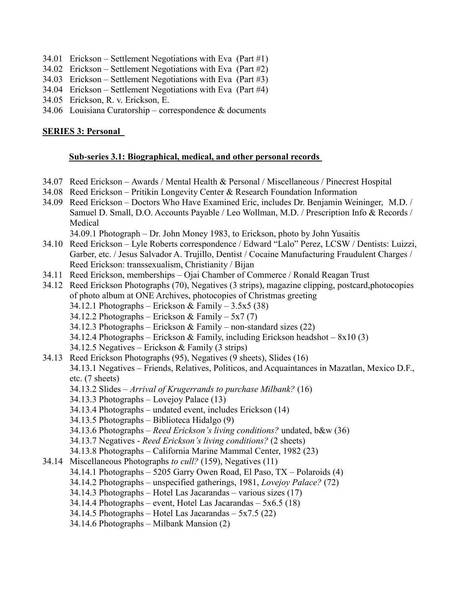- 34.01 Erickson Settlement Negotiations with Eva (Part #1)
- 34.02 Erickson Settlement Negotiations with Eva (Part #2)
- 34.03 Erickson Settlement Negotiations with Eva (Part #3)
- 34.04 Erickson Settlement Negotiations with Eva (Part #4)
- 34.05 Erickson, R. v. Erickson, E.
- 34.06 Louisiana Curatorship correspondence & documents

#### **SERIES 3: Personal**

#### **Sub-series 3.1: Biographical, medical, and other personal records**

- 34.07 Reed Erickson Awards / Mental Health & Personal / Miscellaneous / Pinecrest Hospital
- 34.08 Reed Erickson Pritikin Longevity Center & Research Foundation Information
- 34.09 Reed Erickson Doctors Who Have Examined Eric, includes Dr. Benjamin Weininger, M.D. / Samuel D. Small, D.O. Accounts Payable / Leo Wollman, M.D. / Prescription Info & Records / Medical

34.09.1 Photograph – Dr. John Money 1983, to Erickson, photo by John Yusaitis

- 34.10 Reed Erickson Lyle Roberts correspondence / Edward "Lalo" Perez, LCSW / Dentists: Luizzi, Garber, etc. / Jesus Salvador A. Trujillo, Dentist / Cocaine Manufacturing Fraudulent Charges / Reed Erickson: transsexualism, Christianity / Bijan
- 34.11 Reed Erickson, memberships Ojai Chamber of Commerce / Ronald Reagan Trust
- 34.12 Reed Erickson Photographs (70), Negatives (3 strips), magazine clipping, postcard,photocopies of photo album at ONE Archives, photocopies of Christmas greeting
	- 34.12.1 Photographs Erickson & Family  $3.5x5(38)$
	- 34.12.2 Photographs Erickson & Family  $5x7(7)$
	- 34.12.3 Photographs Erickson & Family non-standard sizes  $(22)$
	- 34.12.4 Photographs Erickson & Family, including Erickson headshot  $8x10(3)$
	- 34.12.5 Negatives Erickson & Family (3 strips)
- 34.13 Reed Erickson Photographs (95), Negatives (9 sheets), Slides (16)

34.13.1 Negatives – Friends, Relatives, Politicos, and Acquaintances in Mazatlan, Mexico D.F., etc. (7 sheets)

- 34.13.2 Slides *Arrival of Krugerrands to purchase Milbank?* (16)
- 34.13.3 Photographs Lovejoy Palace (13)
- 34.13.4 Photographs undated event, includes Erickson (14)
- 34.13.5 Photographs Biblioteca Hidalgo (9)
- 34.13.6 Photographs *Reed Erickson's living conditions?* undated, b&w (36)
- 34.13.7 Negatives *Reed Erickson's living conditions?* (2 sheets)
- 34.13.8 Photographs California Marine Mammal Center, 1982 (23)
- 34.14 Miscellaneous Photographs *to cull?* (159), Negatives (11)
	- 34.14.1 Photographs 5205 Garry Owen Road, El Paso, TX Polaroids (4)
	- 34.14.2 Photographs unspecified gatherings, 1981, *Lovejoy Palace?* (72)
	- 34.14.3 Photographs Hotel Las Jacarandas various sizes (17)
	- 34.14.4 Photographs event, Hotel Las Jacarandas  $5x6.5(18)$
	- 34.14.5 Photographs Hotel Las Jacarandas  $5x7.5(22)$
	- 34.14.6 Photographs Milbank Mansion (2)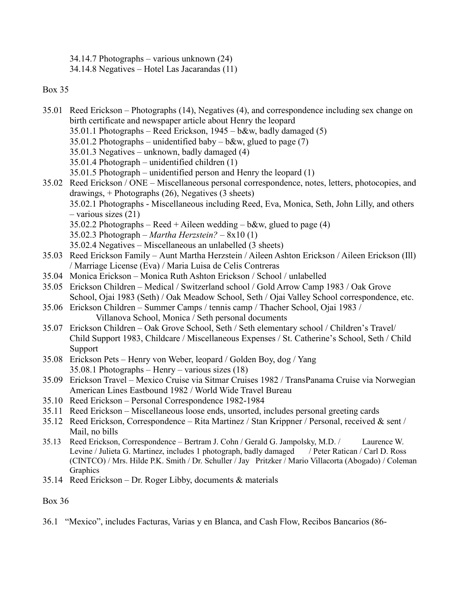34.14.7 Photographs – various unknown (24)

34.14.8 Negatives – Hotel Las Jacarandas (11)

## Box 35

- 35.01 Reed Erickson Photographs (14), Negatives (4), and correspondence including sex change on birth certificate and newspaper article about Henry the leopard
	- 35.01.1 Photographs Reed Erickson, 1945 b&w, badly damaged (5)
	- 35.01.2 Photographs unidentified baby b&w, glued to page  $(7)$
	- 35.01.3 Negatives unknown, badly damaged (4)
	- 35.01.4 Photograph unidentified children (1)
	- 35.01.5 Photograph unidentified person and Henry the leopard (1)
- 35.02 Reed Erickson / ONE Miscellaneous personal correspondence, notes, letters, photocopies, and drawings, + Photographs (26), Negatives (3 sheets) 35.02.1 Photographs - Miscellaneous including Reed, Eva, Monica, Seth, John Lilly, and others – various sizes (21)
	- 35.02.2 Photographs Reed + Aileen wedding  $b\&w$ , glued to page (4)
	- 35.02.3 Photograph *Martha Herzstein?* 8x10 (1)
	- 35.02.4 Negatives Miscellaneous an unlabelled (3 sheets)
- 35.03 Reed Erickson Family Aunt Martha Herzstein / Aileen Ashton Erickson / Aileen Erickson (Ill) / Marriage License (Eva) / Maria Luisa de Celis Contreras
- 35.04 Monica Erickson Monica Ruth Ashton Erickson / School / unlabelled
- 35.05 Erickson Children Medical / Switzerland school / Gold Arrow Camp 1983 / Oak Grove School, Ojai 1983 (Seth) / Oak Meadow School, Seth / Ojai Valley School correspondence, etc.
- 35.06 Erickson Children Summer Camps / tennis camp / Thacher School, Ojai 1983 / Villanova School, Monica / Seth personal documents
- 35.07 Erickson Children Oak Grove School, Seth / Seth elementary school / Children's Travel/ Child Support 1983, Childcare / Miscellaneous Expenses / St. Catherine's School, Seth / Child Support
- 35.08 Erickson Pets Henry von Weber, leopard / Golden Boy, dog / Yang 35.08.1 Photographs – Henry – various sizes (18)
- 35.09 Erickson Travel Mexico Cruise via Sitmar Cruises 1982 / TransPanama Cruise via Norwegian American Lines Eastbound 1982 / World Wide Travel Bureau
- 35.10 Reed Erickson Personal Correspondence 1982-1984
- 35.11 Reed Erickson Miscellaneous loose ends, unsorted, includes personal greeting cards
- 35.12 Reed Erickson, Correspondence Rita Martinez / Stan Krippner / Personal, received & sent / Mail, no bills
- 35.13 Reed Erickson, Correspondence Bertram J. Cohn / Gerald G. Jampolsky, M.D. / Laurence W. Levine / Julieta G. Martinez, includes 1 photograph, badly damaged / Peter Ratican / Carl D. Ross (CINTCO) / Mrs. Hilde P.K. Smith / Dr. Schuller / Jay Pritzker / Mario Villacorta (Abogado) / Coleman **Graphics**
- 35.14 Reed Erickson Dr. Roger Libby, documents & materials

## Box 36

36.1 "Mexico", includes Facturas, Varias y en Blanca, and Cash Flow, Recibos Bancarios (86-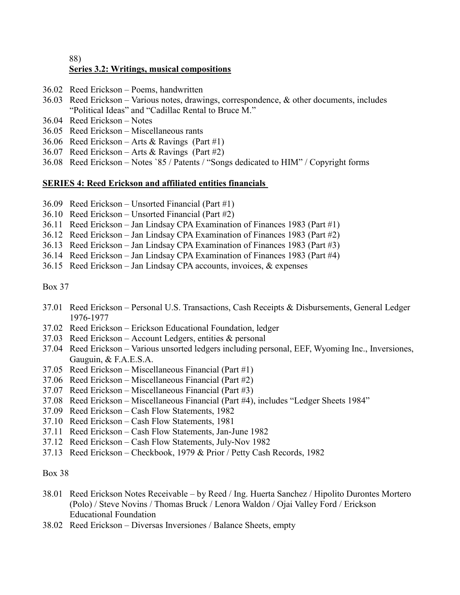## 88) **Series 3.2: Writings, musical compositions**

- 36.02 Reed Erickson Poems, handwritten
- 36.03 Reed Erickson Various notes, drawings, correspondence, & other documents, includes "Political Ideas" and "Cadillac Rental to Bruce M."
- 36.04 Reed Erickson Notes
- 36.05 Reed Erickson Miscellaneous rants
- 36.06 Reed Erickson Arts & Ravings (Part #1)
- 36.07 Reed Erickson Arts & Ravings (Part #2)
- 36.08 Reed Erickson Notes `85 / Patents / "Songs dedicated to HIM" / Copyright forms

## **SERIES 4: Reed Erickson and affiliated entities financials**

- 36.09 Reed Erickson Unsorted Financial (Part #1)
- 36.10 Reed Erickson Unsorted Financial (Part #2)
- 36.11 Reed Erickson Jan Lindsay CPA Examination of Finances 1983 (Part #1)
- 36.12 Reed Erickson Jan Lindsay CPA Examination of Finances 1983 (Part #2)
- 36.13 Reed Erickson Jan Lindsay CPA Examination of Finances 1983 (Part #3)
- 36.14 Reed Erickson Jan Lindsay CPA Examination of Finances 1983 (Part #4)
- 36.15 Reed Erickson Jan Lindsay CPA accounts, invoices, & expenses

Box 37

- 37.01 Reed Erickson Personal U.S. Transactions, Cash Receipts & Disbursements, General Ledger 1976-1977
- 37.02 Reed Erickson Erickson Educational Foundation, ledger
- 37.03 Reed Erickson Account Ledgers, entities  $\&$  personal
- 37.04 Reed Erickson Various unsorted ledgers including personal, EEF, Wyoming Inc., Inversiones, Gauguin, & F.A.E.S.A.
- 37.05 Reed Erickson Miscellaneous Financial (Part #1)
- 37.06 Reed Erickson Miscellaneous Financial (Part #2)
- 37.07 Reed Erickson Miscellaneous Financial (Part #3)
- 37.08 Reed Erickson Miscellaneous Financial (Part #4), includes "Ledger Sheets 1984"
- 37.09 Reed Erickson Cash Flow Statements, 1982
- 37.10 Reed Erickson Cash Flow Statements, 1981
- 37.11 Reed Erickson Cash Flow Statements, Jan-June 1982
- 37.12 Reed Erickson Cash Flow Statements, July-Nov 1982
- 37.13 Reed Erickson Checkbook, 1979 & Prior / Petty Cash Records, 1982

- 38.01 Reed Erickson Notes Receivable by Reed / Ing. Huerta Sanchez / Hipolito Durontes Mortero (Polo) / Steve Novins / Thomas Bruck / Lenora Waldon / Ojai Valley Ford / Erickson Educational Foundation
- 38.02 Reed Erickson Diversas Inversiones / Balance Sheets, empty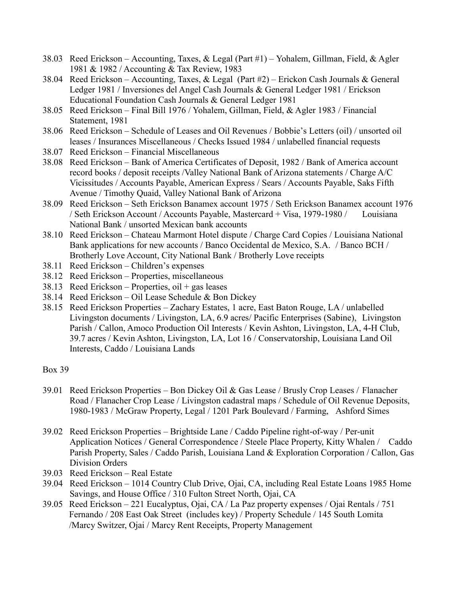- 38.03 Reed Erickson Accounting, Taxes, & Legal (Part #1) Yohalem, Gillman, Field, & Agler 1981 & 1982 / Accounting & Tax Review, 1983
- 38.04 Reed Erickson Accounting, Taxes, & Legal (Part #2) Erickon Cash Journals & General Ledger 1981 / Inversiones del Angel Cash Journals & General Ledger 1981 / Erickson Educational Foundation Cash Journals & General Ledger 1981
- 38.05 Reed Erickson Final Bill 1976 / Yohalem, Gillman, Field, & Agler 1983 / Financial Statement, 1981
- 38.06 Reed Erickson Schedule of Leases and Oil Revenues / Bobbie's Letters (oil) / unsorted oil leases / Insurances Miscellaneous / Checks Issued 1984 / unlabelled financial requests
- 38.07 Reed Erickson Financial Miscellaneous
- 38.08 Reed Erickson Bank of America Certificates of Deposit, 1982 / Bank of America account record books / deposit receipts /Valley National Bank of Arizona statements / Charge A/C Vicissitudes / Accounts Payable, American Express / Sears / Accounts Payable, Saks Fifth Avenue / Timothy Quaid, Valley National Bank of Arizona
- 38.09 Reed Erickson Seth Erickson Banamex account 1975 / Seth Erickson Banamex account 1976 / Seth Erickson Account / Accounts Payable, Mastercard + Visa, 1979-1980 / Louisiana National Bank / unsorted Mexican bank accounts
- 38.10 Reed Erickson Chateau Marmont Hotel dispute / Charge Card Copies / Louisiana National Bank applications for new accounts / Banco Occidental de Mexico, S.A. / Banco BCH / Brotherly Love Account, City National Bank / Brotherly Love receipts
- 38.11 Reed Erickson Children's expenses
- 38.12 Reed Erickson Properties, miscellaneous
- $38.13$  Reed Erickson Properties, oil + gas leases
- 38.14 Reed Erickson Oil Lease Schedule & Bon Dickey
- 38.15 Reed Erickson Properties Zachary Estates, 1 acre, East Baton Rouge, LA / unlabelled Livingston documents / Livingston, LA, 6.9 acres/ Pacific Enterprises (Sabine), Livingston Parish / Callon, Amoco Production Oil Interests / Kevin Ashton, Livingston, LA, 4-H Club, 39.7 acres / Kevin Ashton, Livingston, LA, Lot 16 / Conservatorship, Louisiana Land Oil Interests, Caddo / Louisiana Lands

- 39.01 Reed Erickson Properties Bon Dickey Oil & Gas Lease / Brusly Crop Leases / Flanacher Road / Flanacher Crop Lease / Livingston cadastral maps / Schedule of Oil Revenue Deposits, 1980-1983 / McGraw Property, Legal / 1201 Park Boulevard / Farming, Ashford Simes
- 39.02 Reed Erickson Properties Brightside Lane / Caddo Pipeline right-of-way / Per-unit Application Notices / General Correspondence / Steele Place Property, Kitty Whalen / Caddo Parish Property, Sales / Caddo Parish, Louisiana Land & Exploration Corporation / Callon, Gas Division Orders
- 39.03 Reed Erickson Real Estate
- 39.04 Reed Erickson 1014 Country Club Drive, Ojai, CA, including Real Estate Loans 1985 Home Savings, and House Office / 310 Fulton Street North, Ojai, CA
- 39.05 Reed Erickson 221 Eucalyptus, Ojai, CA / La Paz property expenses / Ojai Rentals / 751 Fernando / 208 East Oak Street (includes key) / Property Schedule / 145 South Lomita /Marcy Switzer, Ojai / Marcy Rent Receipts, Property Management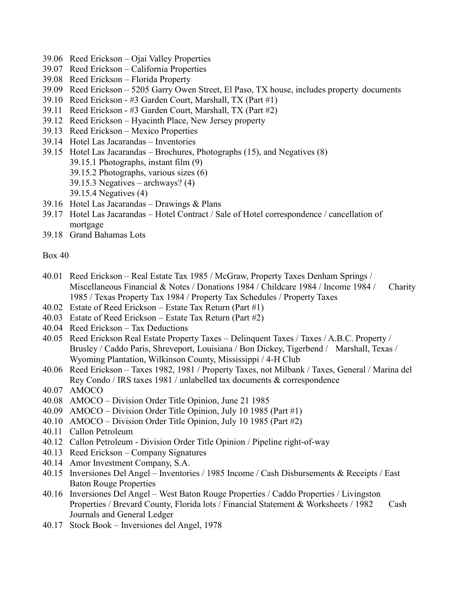- 39.06 Reed Erickson Ojai Valley Properties
- 39.07 Reed Erickson California Properties
- 39.08 Reed Erickson Florida Property
- 39.09 Reed Erickson 5205 Garry Owen Street, El Paso, TX house, includes property documents
- 39.10 Reed Erickson #3 Garden Court, Marshall, TX (Part #1)
- 39.11 Reed Erickson #3 Garden Court, Marshall, TX (Part #2)
- 39.12 Reed Erickson Hyacinth Place, New Jersey property
- 39.13 Reed Erickson Mexico Properties
- 39.14 Hotel Las Jacarandas Inventories
- 39.15 Hotel Las Jacarandas Brochures, Photographs (15), and Negatives (8) 39.15.1 Photographs, instant film (9) 39.15.2 Photographs, various sizes (6) 39.15.3 Negatives – archways? (4)
	- 39.15.4 Negatives (4)
- 39.16 Hotel Las Jacarandas Drawings & Plans
- 39.17 Hotel Las Jacarandas Hotel Contract / Sale of Hotel correspondence / cancellation of mortgage
- 39.18 Grand Bahamas Lots

- 40.01 Reed Erickson Real Estate Tax 1985 / McGraw, Property Taxes Denham Springs / Miscellaneous Financial & Notes / Donations 1984 / Childcare 1984 / Income 1984 / Charity 1985 / Texas Property Tax 1984 / Property Tax Schedules / Property Taxes
- 40.02 Estate of Reed Erickson Estate Tax Return (Part #1)
- 40.03 Estate of Reed Erickson Estate Tax Return (Part #2)
- 40.04 Reed Erickson Tax Deductions
- 40.05 Reed Erickson Real Estate Property Taxes Delinquent Taxes / Taxes / A.B.C. Property / Brusley / Caddo Paris, Shreveport, Louisiana / Bon Dickey, Tigerbend / Marshall, Texas / Wyoming Plantation, Wilkinson County, Mississippi / 4-H Club
- 40.06 Reed Erickson Taxes 1982, 1981 / Property Taxes, not Milbank / Taxes, General / Marina del Rey Condo / IRS taxes 1981 / unlabelled tax documents & correspondence
- 40.07 AMOCO
- 40.08 AMOCO Division Order Title Opinion, June 21 1985
- 40.09 AMOCO Division Order Title Opinion, July 10 1985 (Part #1)
- 40.10 AMOCO Division Order Title Opinion, July 10 1985 (Part #2)
- 40.11 Callon Petroleum
- 40.12 Callon Petroleum Division Order Title Opinion / Pipeline right-of-way
- 40.13 Reed Erickson Company Signatures
- 40.14 Amor Investment Company, S.A.
- 40.15 Inversiones Del Angel Inventories / 1985 Income / Cash Disbursements & Receipts / East Baton Rouge Properties
- 40.16 Inversiones Del Angel West Baton Rouge Properties / Caddo Properties / Livingston Properties / Brevard County, Florida lots / Financial Statement & Worksheets / 1982 Cash Journals and General Ledger
- 40.17 Stock Book Inversiones del Angel, 1978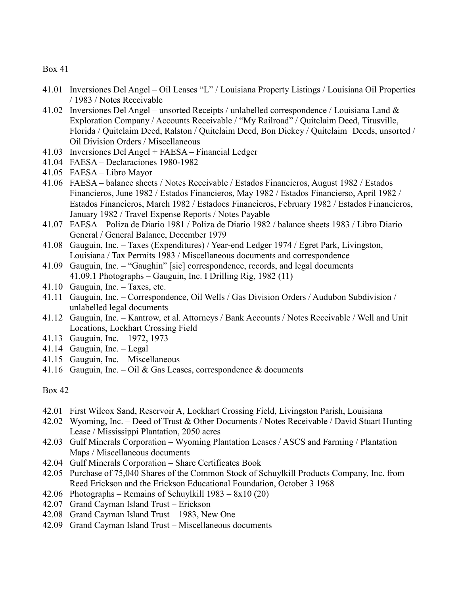- 41.01 Inversiones Del Angel Oil Leases "L" / Louisiana Property Listings / Louisiana Oil Properties / 1983 / Notes Receivable
- 41.02 Inversiones Del Angel unsorted Receipts / unlabelled correspondence / Louisiana Land & Exploration Company / Accounts Receivable / "My Railroad" / Quitclaim Deed, Titusville, Florida / Quitclaim Deed, Ralston / Quitclaim Deed, Bon Dickey / Quitclaim Deeds, unsorted / Oil Division Orders / Miscellaneous
- 41.03 Inversiones Del Angel + FAESA Financial Ledger
- 41.04 FAESA Declaraciones 1980-1982
- 41.05 FAESA Libro Mayor
- 41.06 FAESA balance sheets / Notes Receivable / Estados Financieros, August 1982 / Estados Financieros, June 1982 / Estados Financieros, May 1982 / Estados Financierso, April 1982 / Estados Financieros, March 1982 / Estadoes Financieros, February 1982 / Estados Financieros, January 1982 / Travel Expense Reports / Notes Payable
- 41.07 FAESA Poliza de Diario 1981 / Poliza de Diario 1982 / balance sheets 1983 / Libro Diario General / General Balance, December 1979
- 41.08 Gauguin, Inc. Taxes (Expenditures) / Year-end Ledger 1974 / Egret Park, Livingston, Louisiana / Tax Permits 1983 / Miscellaneous documents and correspondence
- 41.09 Gauguin, Inc. "Gaughin" [sic] correspondence, records, and legal documents 41.09.1 Photographs – Gauguin, Inc. I Drilling Rig, 1982 (11)
- 41.10 Gauguin, Inc. Taxes, etc.
- 41.11 Gauguin, Inc. Correspondence, Oil Wells / Gas Division Orders / Audubon Subdivision / unlabelled legal documents
- 41.12 Gauguin, Inc. Kantrow, et al. Attorneys / Bank Accounts / Notes Receivable / Well and Unit Locations, Lockhart Crossing Field
- 41.13 Gauguin, Inc. 1972, 1973
- 41.14 Gauguin, Inc. Legal
- 41.15 Gauguin, Inc. Miscellaneous
- 41.16 Gauguin, Inc. Oil & Gas Leases, correspondence & documents

- 42.01 First Wilcox Sand, Reservoir A, Lockhart Crossing Field, Livingston Parish, Louisiana
- 42.02 Wyoming, Inc. Deed of Trust & Other Documents / Notes Receivable / David Stuart Hunting Lease / Mississippi Plantation, 2050 acres
- 42.03 Gulf Minerals Corporation Wyoming Plantation Leases / ASCS and Farming / Plantation Maps / Miscellaneous documents
- 42.04 Gulf Minerals Corporation Share Certificates Book
- 42.05 Purchase of 75,040 Shares of the Common Stock of Schuylkill Products Company, Inc. from Reed Erickson and the Erickson Educational Foundation, October 3 1968
- 42.06 Photographs Remains of Schuylkill 1983 8x10 (20)
- 42.07 Grand Cayman Island Trust Erickson
- 42.08 Grand Cayman Island Trust 1983, New One
- 42.09 Grand Cayman Island Trust Miscellaneous documents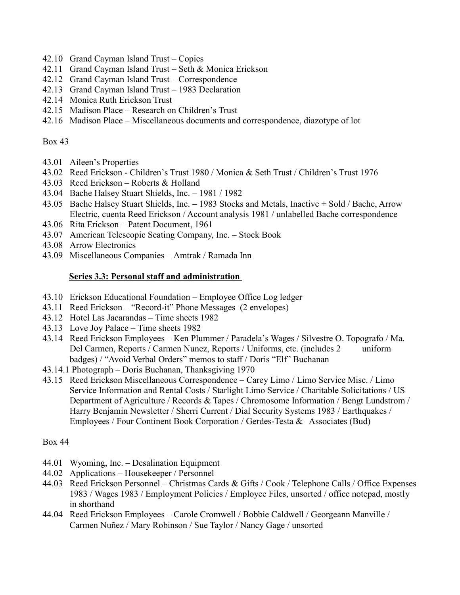- 42.10 Grand Cayman Island Trust Copies
- 42.11 Grand Cayman Island Trust Seth & Monica Erickson
- 42.12 Grand Cayman Island Trust Correspondence
- 42.13 Grand Cayman Island Trust 1983 Declaration
- 42.14 Monica Ruth Erickson Trust
- 42.15 Madison Place Research on Children's Trust
- 42.16 Madison Place Miscellaneous documents and correspondence, diazotype of lot

- 43.01 Aileen's Properties
- 43.02 Reed Erickson Children's Trust 1980 / Monica & Seth Trust / Children's Trust 1976
- 43.03 Reed Erickson Roberts & Holland
- 43.04 Bache Halsey Stuart Shields, Inc. 1981 / 1982
- 43.05 Bache Halsey Stuart Shields, Inc. 1983 Stocks and Metals, Inactive + Sold / Bache, Arrow Electric, cuenta Reed Erickson / Account analysis 1981 / unlabelled Bache correspondence
- 43.06 Rita Erickson Patent Document, 1961
- 43.07 American Telescopic Seating Company, Inc. Stock Book
- 43.08 Arrow Electronics
- 43.09 Miscellaneous Companies Amtrak / Ramada Inn

## **Series 3.3: Personal staff and administration**

- 43.10 Erickson Educational Foundation Employee Office Log ledger
- 43.11 Reed Erickson "Record-it" Phone Messages (2 envelopes)
- 43.12 Hotel Las Jacarandas Time sheets 1982
- 43.13 Love Joy Palace Time sheets 1982
- 43.14 Reed Erickson Employees Ken Plummer / Paradela's Wages / Silvestre O. Topografo / Ma. Del Carmen, Reports / Carmen Nunez, Reports / Uniforms, etc. (includes 2 uniform badges) / "Avoid Verbal Orders" memos to staff / Doris "Elf" Buchanan
- 43.14.1 Photograph Doris Buchanan, Thanksgiving 1970
- 43.15 Reed Erickson Miscellaneous Correspondence Carey Limo / Limo Service Misc. / Limo Service Information and Rental Costs / Starlight Limo Service / Charitable Solicitations / US Department of Agriculture / Records & Tapes / Chromosome Information / Bengt Lundstrom / Harry Benjamin Newsletter / Sherri Current / Dial Security Systems 1983 / Earthquakes / Employees / Four Continent Book Corporation / Gerdes-Testa & Associates (Bud)

- 44.01 Wyoming, Inc. Desalination Equipment
- 44.02 Applications Housekeeper / Personnel
- 44.03 Reed Erickson Personnel Christmas Cards & Gifts / Cook / Telephone Calls / Office Expenses 1983 / Wages 1983 / Employment Policies / Employee Files, unsorted / office notepad, mostly in shorthand
- 44.04 Reed Erickson Employees Carole Cromwell / Bobbie Caldwell / Georgeann Manville / Carmen Nuñez / Mary Robinson / Sue Taylor / Nancy Gage / unsorted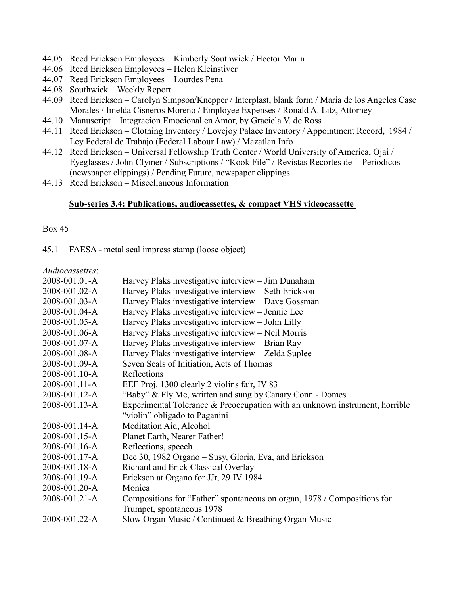- 44.05 Reed Erickson Employees Kimberly Southwick / Hector Marin
- 44.06 Reed Erickson Employees Helen Kleinstiver
- 44.07 Reed Erickson Employees Lourdes Pena
- 44.08 Southwick Weekly Report
- 44.09 Reed Erickson Carolyn Simpson/Knepper / Interplast, blank form / Maria de los Angeles Case Morales / Imelda Cisneros Moreno / Employee Expenses / Ronald A. Litz, Attorney
- 44.10 Manuscript Integracion Emocional en Amor, by Graciela V. de Ross
- 44.11 Reed Erickson Clothing Inventory / Lovejoy Palace Inventory / Appointment Record, 1984 / Ley Federal de Trabajo (Federal Labour Law) / Mazatlan Info
- 44.12 Reed Erickson Universal Fellowship Truth Center / World University of America, Ojai / Eyeglasses / John Clymer / Subscriptions / "Kook File" / Revistas Recortes de Periodicos (newspaper clippings) / Pending Future, newspaper clippings
- 44.13 Reed Erickson Miscellaneous Information

## **Sub-series 3.4: Publications, audiocassettes, & compact VHS videocassette**

Box 45

45.1 FAESA - metal seal impress stamp (loose object)

*Audiocassettes*:

| 2008-001.01-A | Harvey Plaks investigative interview - Jim Dunaham                          |
|---------------|-----------------------------------------------------------------------------|
| 2008-001.02-A | Harvey Plaks investigative interview - Seth Erickson                        |
| 2008-001.03-A | Harvey Plaks investigative interview - Dave Gossman                         |
| 2008-001.04-A | Harvey Plaks investigative interview - Jennie Lee                           |
| 2008-001.05-A | Harvey Plaks investigative interview - John Lilly                           |
| 2008-001.06-A | Harvey Plaks investigative interview – Neil Morris                          |
| 2008-001.07-A | Harvey Plaks investigative interview - Brian Ray                            |
| 2008-001.08-A | Harvey Plaks investigative interview - Zelda Suplee                         |
| 2008-001.09-A | Seven Seals of Initiation, Acts of Thomas                                   |
| 2008-001.10-A | Reflections                                                                 |
| 2008-001.11-A | EEF Proj. 1300 clearly 2 violins fair, IV 83                                |
| 2008-001.12-A | "Baby" & Fly Me, written and sung by Canary Conn - Domes                    |
| 2008-001.13-A | Experimental Tolerance & Preoccupation with an unknown instrument, horrible |
|               | "violin" obligado to Paganini                                               |
| 2008-001.14-A | Meditation Aid, Alcohol                                                     |
| 2008-001.15-A | Planet Earth, Nearer Father!                                                |
| 2008-001.16-A | Reflections, speech                                                         |
| 2008-001.17-A | Dec 30, 1982 Organo – Susy, Gloria, Eva, and Erickson                       |
| 2008-001.18-A | Richard and Erick Classical Overlay                                         |
| 2008-001.19-A | Erickson at Organo for JJr, 29 IV 1984                                      |
| 2008-001.20-A | Monica                                                                      |
| 2008-001.21-A | Compositions for "Father" spontaneous on organ, 1978 / Compositions for     |
|               | Trumpet, spontaneous 1978                                                   |
| 2008-001.22-A | Slow Organ Music / Continued & Breathing Organ Music                        |
|               |                                                                             |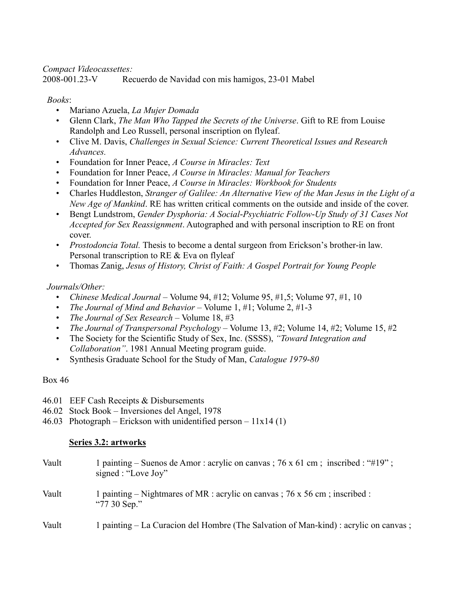## *Compact Videocassettes:*

2008-001.23-V Recuerdo de Navidad con mis hamigos, 23-01 Mabel

## *Books*:

- Mariano Azuela, *La Mujer Domada*
- Glenn Clark, *The Man Who Tapped the Secrets of the Universe*. Gift to RE from Louise Randolph and Leo Russell, personal inscription on flyleaf.
- Clive M. Davis, *Challenges in Sexual Science: Current Theoretical Issues and Research Advances.*
- Foundation for Inner Peace, *A Course in Miracles: Text*
- Foundation for Inner Peace, *A Course in Miracles: Manual for Teachers*
- Foundation for Inner Peace, *A Course in Miracles: Workbook for Students*
- Charles Huddleston, *Stranger of Galilee: An Alternative View of the Man Jesus in the Light of a New Age of Mankind*. RE has written critical comments on the outside and inside of the cover.
- Bengt Lundstrom, *Gender Dysphoria: A Social-Psychiatric Follow-Up Study of 31 Cases Not Accepted for Sex Reassignment*. Autographed and with personal inscription to RE on front cover.
- *Prostodoncia Total.* Thesis to become a dental surgeon from Erickson's brother-in law. Personal transcription to RE & Eva on flyleaf
- Thomas Zanig, *Jesus of History, Christ of Faith: A Gospel Portrait for Young People*

## *Journals/Other:*

- *Chinese Medical Journal –* Volume 94, #12; Volume 95, #1,5; Volume 97, #1, 10
- *The Journal of Mind and Behavior –* Volume 1, #1; Volume 2, #1-3
- *The Journal of Sex Research –* Volume 18, #3
- *The Journal of Transpersonal Psychology –* Volume 13, #2; Volume 14, #2; Volume 15, #2
- The Society for the Scientific Study of Sex, Inc. (SSSS), *"Toward Integration and Collaboration"*. 1981 Annual Meeting program guide.
- Synthesis Graduate School for the Study of Man, *Catalogue 1979-80*

## Box 46

- 46.01 EEF Cash Receipts & Disbursements
- 46.02 Stock Book Inversiones del Angel, 1978
- 46.03 Photograph Erickson with unidentified person  $11x14(1)$

## **Series 3.2: artworks**

| Vault | 1 painting – Suenos de Amor : acrylic on canvas ; 76 x 61 cm ; inscribed : "#19" ;<br>signed : "Love Joy" |
|-------|-----------------------------------------------------------------------------------------------------------|
| Vault | 1 painting – Nightmares of MR : acrylic on canvas ; 76 x 56 cm ; inscribed :<br>"77 30 Sep."              |
| Vault | 1 painting – La Curacion del Hombre (The Salvation of Man-kind) : acrylic on canvas;                      |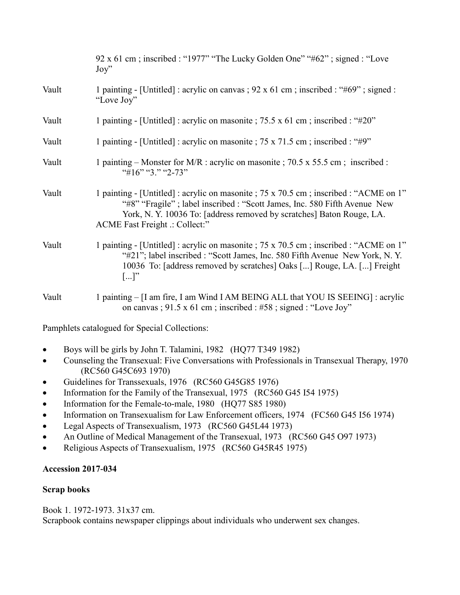|       | 92 x 61 cm; inscribed: "1977" "The Lucky Golden One" "#62"; signed: "Love"<br>$\mathrm{Joy}$                                                                                                                                                                                  |
|-------|-------------------------------------------------------------------------------------------------------------------------------------------------------------------------------------------------------------------------------------------------------------------------------|
| Vault | 1 painting - [Untitled] : acrylic on canvas ; $92 \times 61$ cm ; inscribed : "#69"; signed :<br>"Love Joy"                                                                                                                                                                   |
| Vault | 1 painting - [Untitled] : acrylic on masonite ; 75.5 x 61 cm ; inscribed : "#20"                                                                                                                                                                                              |
| Vault | 1 painting - [Untitled] : acrylic on masonite ; 75 x 71.5 cm ; inscribed : "#9"                                                                                                                                                                                               |
| Vault | 1 painting – Monster for M/R : acrylic on masonite ; 70.5 x 55.5 cm; inscribed :<br>"#16" "3." "2-73"                                                                                                                                                                         |
| Vault | 1 painting - [Untitled] : acrylic on masonite ; 75 x 70.5 cm ; inscribed : "ACME on 1"<br>"#8" "Fragile"; label inscribed : "Scott James, Inc. 580 Fifth Avenue New<br>York, N.Y. 10036 To: [address removed by scratches] Baton Rouge, LA.<br>ACME Fast Freight :: Collect:" |
| Vault | 1 painting - [Untitled] : acrylic on masonite ; 75 x 70.5 cm ; inscribed : "ACME on 1"<br>"#21"; label inscribed : "Scott James, Inc. 580 Fifth Avenue New York, N.Y.<br>10036 To: [address removed by scratches] Oaks [] Rouge, LA. [] Freight<br>$[]$ "                     |
| Vault | 1 painting – [I am fire, I am Wind I AM BEING ALL that YOU IS SEEING] : acrylic<br>on canvas; 91.5 x 61 cm; inscribed: #58; signed: "Love Joy"                                                                                                                                |
|       | Pamphlets catalogued for Special Collections:                                                                                                                                                                                                                                 |

- Boys will be girls by John T. Talamini, 1982 (HQ77 T349 1982)
- Counseling the Transexual: Five Conversations with Professionals in Transexual Therapy, 1970 (RC560 G45C693 1970)
- Guidelines for Transsexuals, 1976 (RC560 G45G85 1976)
- Information for the Family of the Transexual, 1975 (RC560 G45 I54 1975)
- Information for the Female-to-male, 1980 (HQ77 S85 1980)
- Information on Transexualism for Law Enforcement officers, 1974 (FC560 G45 I56 1974)
- Legal Aspects of Transexualism, 1973 (RC560 G45L44 1973)
- An Outline of Medical Management of the Transexual, 1973 (RC560 G45 O97 1973)
- Religious Aspects of Transexualism, 1975 (RC560 G45R45 1975)

## **Accession 2017-034**

## **Scrap books**

Book 1. 1972-1973. 31x37 cm.

Scrapbook contains newspaper clippings about individuals who underwent sex changes.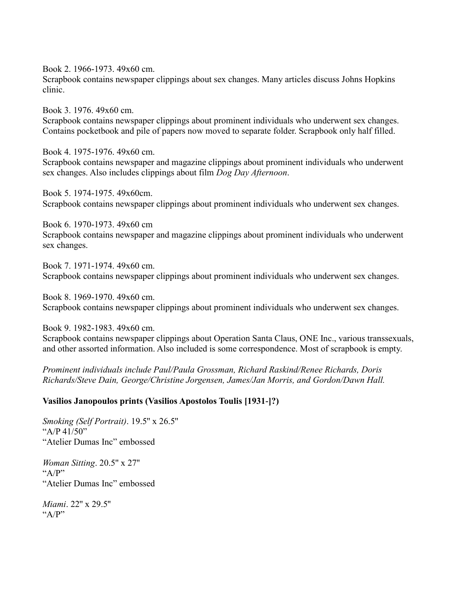Book 2. 1966-1973. 49x60 cm.

Scrapbook contains newspaper clippings about sex changes. Many articles discuss Johns Hopkins clinic.

Book 3. 1976. 49x60 cm. Scrapbook contains newspaper clippings about prominent individuals who underwent sex changes. Contains pocketbook and pile of papers now moved to separate folder. Scrapbook only half filled.

Book 4. 1975-1976. 49x60 cm. Scrapbook contains newspaper and magazine clippings about prominent individuals who underwent sex changes. Also includes clippings about film *Dog Day Afternoon*.

Book 5. 1974-1975. 49x60cm. Scrapbook contains newspaper clippings about prominent individuals who underwent sex changes.

Book 6. 1970-1973. 49x60 cm Scrapbook contains newspaper and magazine clippings about prominent individuals who underwent sex changes.

Book 7. 1971-1974. 49x60 cm. Scrapbook contains newspaper clippings about prominent individuals who underwent sex changes.

Book 8. 1969-1970. 49x60 cm. Scrapbook contains newspaper clippings about prominent individuals who underwent sex changes.

Book 9. 1982-1983. 49x60 cm.

Scrapbook contains newspaper clippings about Operation Santa Claus, ONE Inc., various transsexuals, and other assorted information. Also included is some correspondence. Most of scrapbook is empty.

*Prominent individuals include Paul/Paula Grossman, Richard Raskind/Renee Richards, Doris Richards/Steve Dain, George/Christine Jorgensen, James/Jan Morris, and Gordon/Dawn Hall.*

#### **Vasilios Janopoulos prints (Vasilios Apostolos Toulis [1931-]?)**

*Smoking (Self Portrait)*. 19.5'' x 26.5'' " $A/P$  41/50" "Atelier Dumas Inc" embossed

*Woman Sitting*. 20.5'' x 27'' "A/P" "Atelier Dumas Inc" embossed

*Miami*. 22'' x 29.5''  $``A/P"$